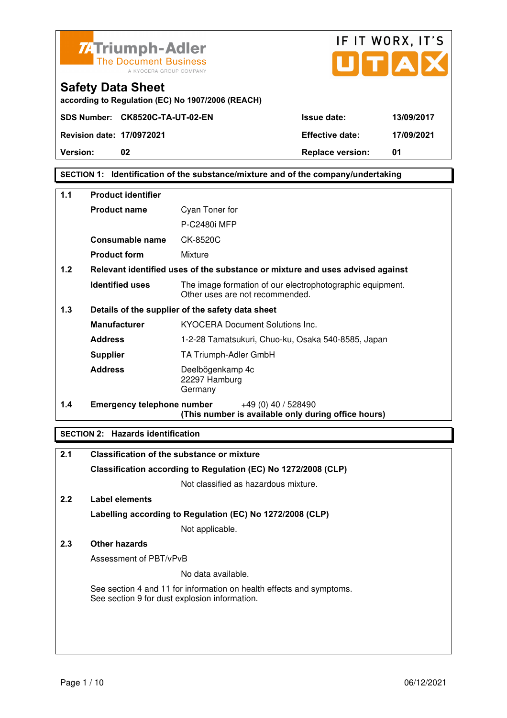



IF IT WORX, IT'S

### **SECTION 1: Identification of the substance/mixture and of the company/undertaking**

| $1.1$                                                   | <b>Product identifier</b>                                                     |                                                                                              |
|---------------------------------------------------------|-------------------------------------------------------------------------------|----------------------------------------------------------------------------------------------|
|                                                         | <b>Product name</b>                                                           | Cyan Toner for                                                                               |
|                                                         |                                                                               | P-C2480i MFP                                                                                 |
|                                                         | Consumable name                                                               | CK-8520C                                                                                     |
|                                                         | <b>Product form</b>                                                           | Mixture                                                                                      |
| 1.2                                                     | Relevant identified uses of the substance or mixture and uses advised against |                                                                                              |
|                                                         | <b>Identified uses</b>                                                        | The image formation of our electrophotographic equipment.<br>Other uses are not recommended. |
| 1.3<br>Details of the supplier of the safety data sheet |                                                                               |                                                                                              |
|                                                         | <b>Manufacturer</b>                                                           | <b>KYOCERA Document Solutions Inc.</b>                                                       |
|                                                         | <b>Address</b>                                                                | 1-2-28 Tamatsukuri, Chuo-ku, Osaka 540-8585, Japan                                           |
|                                                         | <b>Supplier</b>                                                               | TA Triumph-Adler GmbH                                                                        |
|                                                         | <b>Address</b>                                                                | Deelbögenkamp 4c<br>22297 Hamburg<br>Germany                                                 |
| 1.4                                                     | Emergency telephone number                                                    | $+49(0)$ 40 / 528490<br>(This number is available only during office hours)                  |

### **SECTION 2: Hazards identification**

| 2.1           | <b>Classification of the substance or mixture</b>                                                                     |
|---------------|-----------------------------------------------------------------------------------------------------------------------|
|               | Classification according to Regulation (EC) No 1272/2008 (CLP)                                                        |
|               | Not classified as hazardous mixture.                                                                                  |
| $2.2^{\circ}$ | Label elements                                                                                                        |
|               | Labelling according to Regulation (EC) No 1272/2008 (CLP)                                                             |
|               | Not applicable.                                                                                                       |
| 2.3           | Other hazards                                                                                                         |
|               | Assessment of PBT/vPvB                                                                                                |
|               | No data available.                                                                                                    |
|               | See section 4 and 11 for information on health effects and symptoms.<br>See section 9 for dust explosion information. |
|               |                                                                                                                       |
|               |                                                                                                                       |
|               |                                                                                                                       |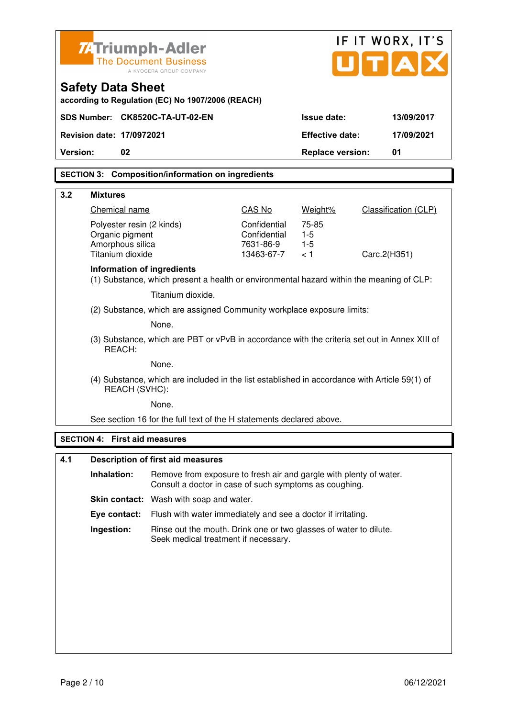|          |                                      | <b>ZATriumph-Adler</b>                                                                                                       |                           |                         | IF IT WORX, IT'S     |
|----------|--------------------------------------|------------------------------------------------------------------------------------------------------------------------------|---------------------------|-------------------------|----------------------|
|          |                                      | <b>The Document Business</b><br>A KYOCERA GROUP COMPANY                                                                      |                           |                         | UTAI                 |
|          | <b>Safety Data Sheet</b>             | according to Regulation (EC) No 1907/2006 (REACH)                                                                            |                           |                         |                      |
|          |                                      | SDS Number: CK8520C-TA-UT-02-EN                                                                                              |                           | Issue date:             | 13/09/2017           |
|          | <b>Revision date: 17/0972021</b>     |                                                                                                                              |                           | <b>Effective date:</b>  | 17/09/2021           |
| Version: | 02                                   |                                                                                                                              |                           | <b>Replace version:</b> | 01                   |
|          |                                      | <b>SECTION 3: Composition/information on ingredients</b>                                                                     |                           |                         |                      |
| 3.2      | <b>Mixtures</b>                      |                                                                                                                              |                           |                         |                      |
|          | Chemical name                        |                                                                                                                              | CAS No                    | Weight%                 | Classification (CLP) |
|          | Polyester resin (2 kinds)            |                                                                                                                              | Confidential              | 75-85                   |                      |
|          | Organic pigment<br>Amorphous silica  |                                                                                                                              | Confidential<br>7631-86-9 | $1-5$<br>$1-5$          |                      |
|          | Titanium dioxide                     |                                                                                                                              | 13463-67-7                | < 1                     | Carc.2(H351)         |
|          | Information of ingredients           | (1) Substance, which present a health or environmental hazard within the meaning of CLP:                                     |                           |                         |                      |
|          |                                      | Titanium dioxide.                                                                                                            |                           |                         |                      |
|          |                                      | (2) Substance, which are assigned Community workplace exposure limits:                                                       |                           |                         |                      |
|          |                                      | None.                                                                                                                        |                           |                         |                      |
|          | REACH:                               | (3) Substance, which are PBT or vPvB in accordance with the criteria set out in Annex XIII of                                |                           |                         |                      |
|          |                                      | None.                                                                                                                        |                           |                         |                      |
|          | REACH (SVHC):                        | (4) Substance, which are included in the list established in accordance with Article 59(1) of                                |                           |                         |                      |
|          |                                      | None.                                                                                                                        |                           |                         |                      |
|          |                                      | See section 16 for the full text of the H statements declared above.                                                         |                           |                         |                      |
|          | <b>SECTION 4: First aid measures</b> |                                                                                                                              |                           |                         |                      |
| 4.1      |                                      | <b>Description of first aid measures</b>                                                                                     |                           |                         |                      |
|          | Inhalation:                          | Remove from exposure to fresh air and gargle with plenty of water.<br>Consult a doctor in case of such symptoms as coughing. |                           |                         |                      |
|          |                                      | Skin contact: Wash with soap and water.                                                                                      |                           |                         |                      |
|          | Eye contact:                         | Flush with water immediately and see a doctor if irritating.                                                                 |                           |                         |                      |
|          | Ingestion:                           | Rinse out the mouth. Drink one or two glasses of water to dilute.<br>Seek medical treatment if necessary.                    |                           |                         |                      |
|          |                                      |                                                                                                                              |                           |                         |                      |
|          |                                      |                                                                                                                              |                           |                         |                      |
|          |                                      |                                                                                                                              |                           |                         |                      |
|          |                                      |                                                                                                                              |                           |                         |                      |
|          |                                      |                                                                                                                              |                           |                         |                      |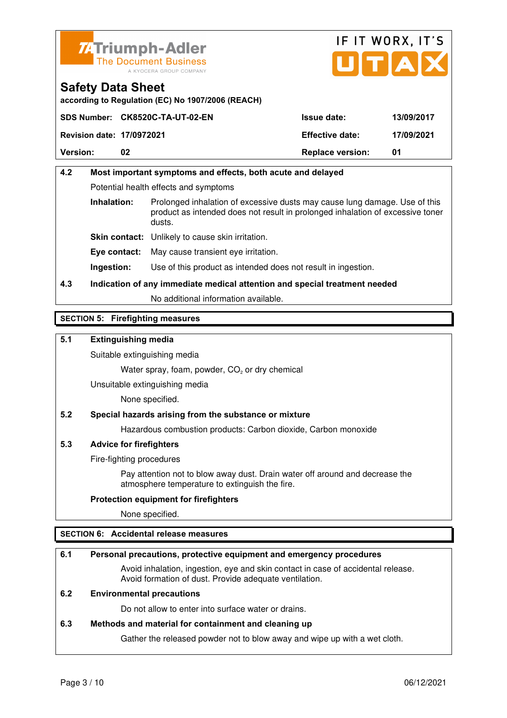



**according to Regulation (EC) No 1907/2006 (REACH)**

|                                  | SDS Number: CK8520C-TA-UT-02-EN | <b>Issue date:</b>      | 13/09/2017 |
|----------------------------------|---------------------------------|-------------------------|------------|
| <b>Revision date: 17/0972021</b> |                                 | <b>Effective date:</b>  | 17/09/2021 |
| <b>Version:</b>                  | 02                              | <b>Replace version:</b> | 01         |

## **4.2 Most important symptoms and effects, both acute and delayed**  Potential health effects and symptoms **Inhalation:** Prolonged inhalation of excessive dusts may cause lung damage. Use of this product as intended does not result in prolonged inhalation of excessive toner dusts. **Skin contact:** Unlikely to cause skin irritation. **Eye contact:** May cause transient eye irritation.

**Ingestion:** Use of this product as intended does not result in ingestion.

### **4.3 Indication of any immediate medical attention and special treatment needed**

No additional information available.

### **SECTION 5: Firefighting measures**

### **5.1 Extinguishing media**

Suitable extinguishing media

Water spray, foam, powder,  $CO<sub>2</sub>$  or dry chemical

Unsuitable extinguishing media

None specified.

#### **5.2 Special hazards arising from the substance or mixture**

Hazardous combustion products: Carbon dioxide, Carbon monoxide

#### **5.3 Advice for firefighters**

Fire-fighting procedures

 Pay attention not to blow away dust. Drain water off around and decrease the atmosphere temperature to extinguish the fire.

#### **Protection equipment for firefighters**

None specified.

#### **SECTION 6: Accidental release measures**

#### **6.1 Personal precautions, protective equipment and emergency procedures**

 Avoid inhalation, ingestion, eye and skin contact in case of accidental release. Avoid formation of dust. Provide adequate ventilation.

### **6.2 Environmental precautions**

Do not allow to enter into surface water or drains.

#### **6.3 Methods and material for containment and cleaning up**

Gather the released powder not to blow away and wipe up with a wet cloth.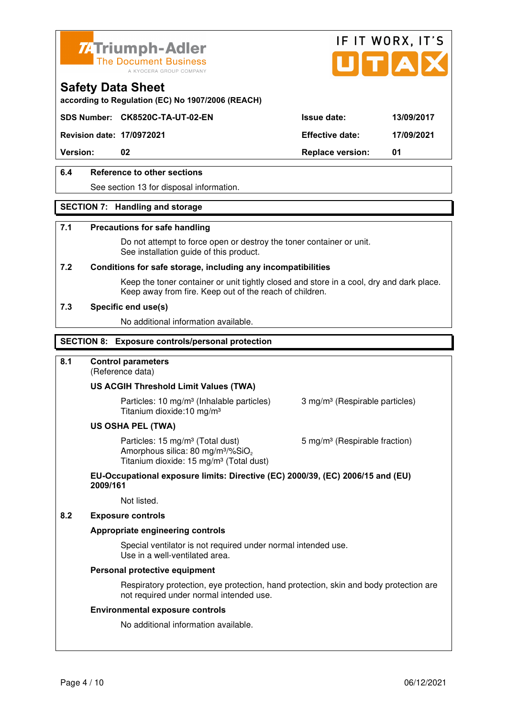



**according to Regulation (EC) No 1907/2006 (REACH)**

### **SDS Number: CK8520C-TA-UT-02-EN Issue date: 13/09/2017**

**Revision date: 17/0972021 Effective date: 17/09/2021** 

**Version:** 02 **Replace version:** 01

### **6.4 Reference to other sections**

See section 13 for disposal information.

#### **SECTION 7: Handling and storage**

#### **7.1 Precautions for safe handling**

 Do not attempt to force open or destroy the toner container or unit. See installation guide of this product.

#### **7.2 Conditions for safe storage, including any incompatibilities**

Keep the toner container or unit tightly closed and store in a cool, dry and dark place. Keep away from fire. Keep out of the reach of children.

#### **7.3 Specific end use(s)**

No additional information available.

#### **SECTION 8: Exposure controls/personal protection**

#### **8.1 Control parameters**

(Reference data)

#### **US ACGIH Threshold Limit Values (TWA)**

**Particles: 10 mg/m<sup>3</sup> (Inhalable particles) 3 mg/m<sup>3</sup> (Respirable particles)** Titanium dioxide:10 mg/m³

#### **US OSHA PEL (TWA)**

Particles: 15 mg/m<sup>3</sup> (Total dust) 5 mg/m<sup>3</sup> (Respirable fraction) Amorphous silica:  $80 \text{ mg/m}^3/\% \text{SiO}_2$ Titanium dioxide: 15 mg/m<sup>3</sup> (Total dust)

#### **EU-Occupational exposure limits: Directive (EC) 2000/39, (EC) 2006/15 and (EU) 2009/161**

Not listed.

### **8.2 Exposure controls**

#### **Appropriate engineering controls**

 Special ventilator is not required under normal intended use. Use in a well-ventilated area.

#### **Personal protective equipment**

 Respiratory protection, eye protection, hand protection, skin and body protection are not required under normal intended use.

#### **Environmental exposure controls**

No additional information available.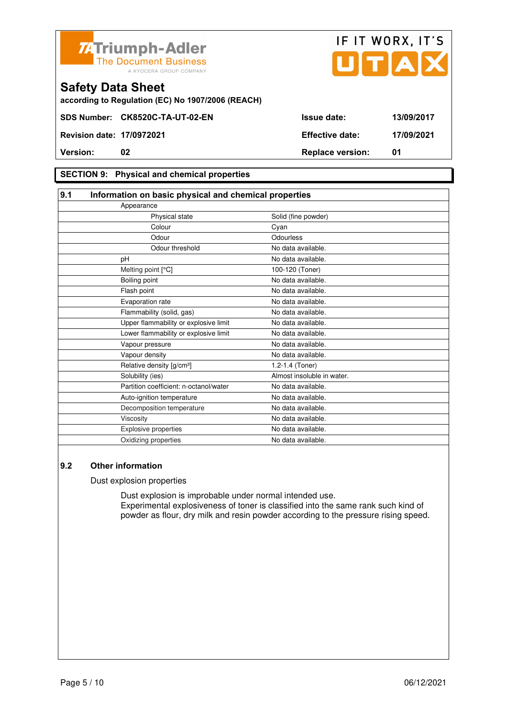



**according to Regulation (EC) No 1907/2006 (REACH)**

### **SECTION 9: Physical and chemical properties**

| 9.1 | Information on basic physical and chemical properties |                            |
|-----|-------------------------------------------------------|----------------------------|
|     | Appearance                                            |                            |
|     | Physical state                                        | Solid (fine powder)        |
|     | Colour                                                | Cyan                       |
|     | Odour                                                 | Odourless                  |
|     | Odour threshold                                       | No data available.         |
|     | pH                                                    | No data available.         |
|     | Melting point [°C]                                    | 100-120 (Toner)            |
|     | Boiling point                                         | No data available.         |
|     | Flash point                                           | No data available.         |
|     | Evaporation rate                                      | No data available.         |
|     | Flammability (solid, gas)                             | No data available.         |
|     | Upper flammability or explosive limit                 | No data available.         |
|     | Lower flammability or explosive limit                 | No data available.         |
|     | Vapour pressure                                       | No data available.         |
|     | Vapour density                                        | No data available.         |
|     | Relative density [g/cm <sup>3</sup> ]                 | 1.2-1.4 (Toner)            |
|     | Solubility (ies)                                      | Almost insoluble in water. |
|     | Partition coefficient: n-octanol/water                | No data available.         |
|     | Auto-ignition temperature                             | No data available.         |
|     | Decomposition temperature                             | No data available.         |
|     | Viscosity                                             | No data available.         |
|     | Explosive properties                                  | No data available.         |
|     | Oxidizing properties                                  | No data available.         |

### **9.2 Other information**

Dust explosion properties

 Dust explosion is improbable under normal intended use. Experimental explosiveness of toner is classified into the same rank such kind of powder as flour, dry milk and resin powder according to the pressure rising speed.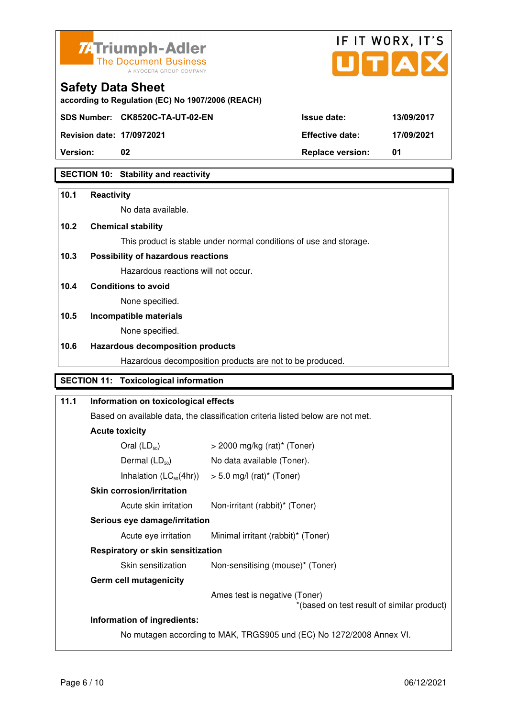



**Version: 02 Replace version: 01** 

### **SECTION 10: Stability and reactivity**

### **10.1 Reactivity**

No data available.

### **10.2 Chemical stability**

This product is stable under normal conditions of use and storage.

### **10.3 Possibility of hazardous reactions**

Hazardous reactions will not occur.

#### **10.4 Conditions to avoid**

None specified.

### **10.5 Incompatible materials**

None specified.

### **10.6 Hazardous decomposition products**

Hazardous decomposition products are not to be produced.

### **SECTION 11: Toxicological information**

## **11.1 Information on toxicological effects**  Based on available data, the classification criteria listed below are not met. **Acute toxicity**  Oral  $(LD_{50})$   $>$  2000 mg/kg (rat)<sup>\*</sup> (Toner) Dermal  $(LD_{50})$  No data available (Toner). Inhalation  $(LC_{50}(4hr))$  > 5.0 mg/l (rat)\* (Toner)  **Skin corrosion/irritation** Acute skin irritation Non-irritant (rabbit)\* (Toner)  **Serious eye damage/irritation** Acute eye irritation Minimal irritant (rabbit)\* (Toner)  **Respiratory or skin sensitization**  Skin sensitization Non-sensitising (mouse)<sup>\*</sup> (Toner)  **Germ cell mutagenicity** Ames test is negative (Toner) \*(based on test result of similar product) **Information of ingredients:**

No mutagen according to MAK, TRGS905 und (EC) No 1272/2008 Annex VI.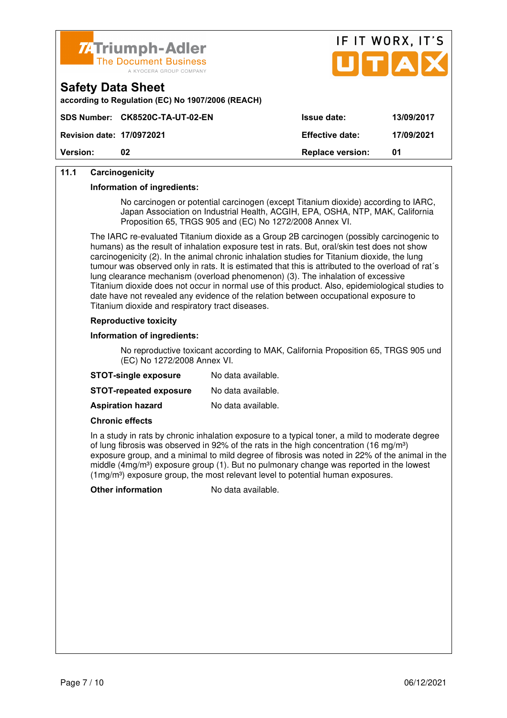



| <b>Safety Data Sheet</b> |  |
|--------------------------|--|
|--------------------------|--|

**according to Regulation (EC) No 1907/2006 (REACH)**

| <b>Revision date: 17/0972021</b> |    | <b>Effective date:</b>  | 17/09/2021 |
|----------------------------------|----|-------------------------|------------|
| <b>Version:</b>                  | 02 | <b>Replace version:</b> | 01         |
|                                  |    |                         |            |

### **11.1 Carcinogenicity**

#### **Information of ingredients:**

 No carcinogen or potential carcinogen (except Titanium dioxide) according to IARC, Japan Association on Industrial Health, ACGIH, EPA, OSHA, NTP, MAK, California Proposition 65, TRGS 905 and (EC) No 1272/2008 Annex VI.

 The IARC re-evaluated Titanium dioxide as a Group 2B carcinogen (possibly carcinogenic to humans) as the result of inhalation exposure test in rats. But, oral/skin test does not show carcinogenicity (2). In the animal chronic inhalation studies for Titanium dioxide, the lung tumour was observed only in rats. It is estimated that this is attributed to the overload of rat´s lung clearance mechanism (overload phenomenon) (3). The inhalation of excessive Titanium dioxide does not occur in normal use of this product. Also, epidemiological studies to date have not revealed any evidence of the relation between occupational exposure to Titanium dioxide and respiratory tract diseases.

#### **Reproductive toxicity**

#### **Information of ingredients:**

 No reproductive toxicant according to MAK, California Proposition 65, TRGS 905 und (EC) No 1272/2008 Annex VI.

| <b>STOT-single exposure</b>   | No data available. |
|-------------------------------|--------------------|
| <b>STOT-repeated exposure</b> | No data available. |
| <b>Aspiration hazard</b>      | No data available. |

#### **Chronic effects**

 In a study in rats by chronic inhalation exposure to a typical toner, a mild to moderate degree of lung fibrosis was observed in 92% of the rats in the high concentration (16 mg/m<sup>3</sup>) exposure group, and a minimal to mild degree of fibrosis was noted in 22% of the animal in the middle (4mg/m<sup>3</sup>) exposure group (1). But no pulmonary change was reported in the lowest  $(1 \text{mg/m}^3)$  exposure group, the most relevant level to potential human exposures.

**Other information** No data available.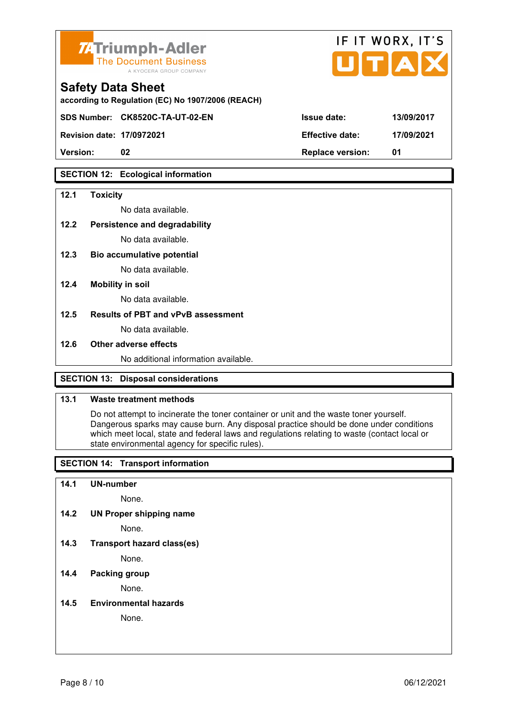

|       |                        | TA         |
|-------|------------------------|------------|
|       |                        |            |
| EACH) |                        |            |
|       | <b>Issue date:</b>     | 13/09/2017 |
|       | <b>Effective date:</b> | 17/09/2021 |
|       |                        |            |

IF IT WORY IT'S

## **Safety Data Sheet**

according to Regulation (EC) No 1907/2006 (R

**SDS Number: CK8520C-TA-UT-02-EN** 

**Revision date: 17/0972021 Effective date: 17/09/2021** 

**Version: 02 Replace version: 01** 

### **SECTION 12: Ecological information**

### **12.1 Toxicity**

No data available.

### **12.2 Persistence and degradability**

No data available.

**12.3 Bio accumulative potential** 

No data available.

#### **12.4 Mobility in soil**

No data available.

#### **12.5 Results of PBT and vPvB assessment**

No data available.

#### **12.6 Other adverse effects**

No additional information available.

### **SECTION 13: Disposal considerations**

### **13.1 Waste treatment methods**

 Do not attempt to incinerate the toner container or unit and the waste toner yourself. Dangerous sparks may cause burn. Any disposal practice should be done under conditions which meet local, state and federal laws and regulations relating to waste (contact local or state environmental agency for specific rules).

### **SECTION 14: Transport information**

#### **14.1 UN-number**

None.

**14.2 UN Proper shipping name** 

None.

**14.3 Transport hazard class(es)** 

None.

### **14.4 Packing group**

None.

#### **14.5 Environmental hazards**

None.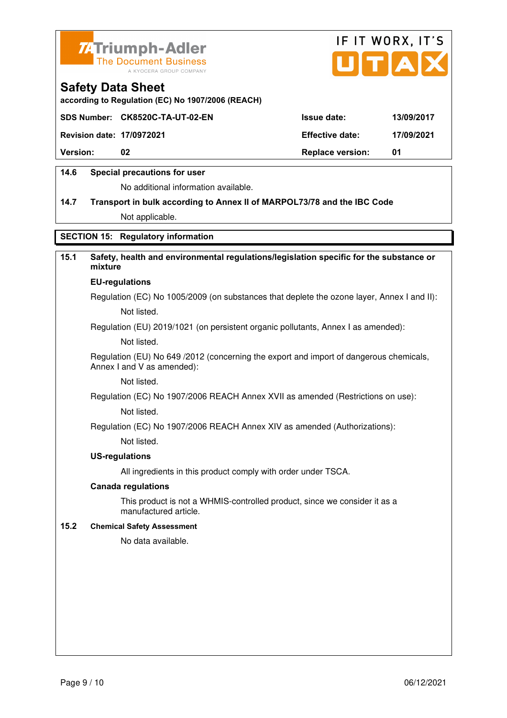



**according to Regulation (EC) No 1907/2006 (REACH)**

|                                  | SDS Number: CK8520C-TA-UT-02-EN | <b>Issue date:</b>      | 13/09/2017 |
|----------------------------------|---------------------------------|-------------------------|------------|
| <b>Revision date: 17/0972021</b> |                                 | <b>Effective date:</b>  | 17/09/2021 |
| <b>Version:</b>                  | 02                              | <b>Replace version:</b> | 01         |
|                                  |                                 |                         |            |

### **14.6 Special precautions for user**

No additional information available.

## **14.7 Transport in bulk according to Annex II of MARPOL73/78 and the IBC Code** Not applicable.

### **SECTION 15: Regulatory information**

### **15.1 Safety, health and environmental regulations/legislation specific for the substance or mixture**

#### **EU-regulations**

Regulation (EC) No 1005/2009 (on substances that deplete the ozone layer, Annex I and II): Not listed.

Regulation (EU) 2019/1021 (on persistent organic pollutants, Annex I as amended):

Not listed.

 Regulation (EU) No 649 /2012 (concerning the export and import of dangerous chemicals, Annex I and V as amended):

Not listed.

 Regulation (EC) No 1907/2006 REACH Annex XVII as amended (Restrictions on use): Not listed.

Regulation (EC) No 1907/2006 REACH Annex XIV as amended (Authorizations):

Not listed.

#### **US-regulations**

All ingredients in this product comply with order under TSCA.

#### **Canada regulations**

 This product is not a WHMIS-controlled product, since we consider it as a manufactured article.

#### **15.2 Chemical Safety Assessment**

No data available.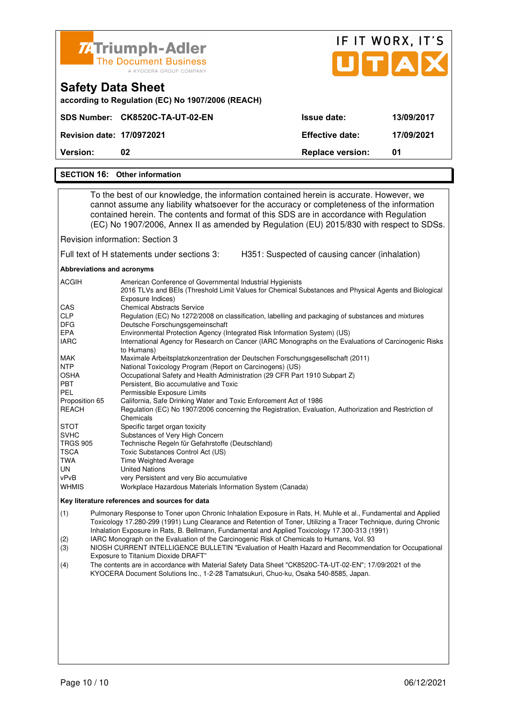| <b>ZATriumph-Adler</b><br><b>The Document Business</b><br>A KYOCERA GROUP COMPANY        |                         | IF IT WORX, IT'S<br>UTAX |
|------------------------------------------------------------------------------------------|-------------------------|--------------------------|
| <b>Safety Data Sheet</b><br>according to Regulation (EC) No 1907/2006 (REACH)            |                         |                          |
| SDS Number: CK8520C-TA-UT-02-EN                                                          | Issue date:             | 13/09/2017               |
| <b>Revision date: 17/0972021</b>                                                         | <b>Effective date:</b>  | 17/09/2021               |
| Version:<br>02                                                                           | <b>Replace version:</b> | 01                       |
| <b>SECTION 16: Other information</b>                                                     |                         |                          |
| To the best of our knowledge, the information centained berein is acquirate. However, we |                         |                          |

 To the best of our knowledge, the information contained herein is accurate. However, we cannot assume any liability whatsoever for the accuracy or completeness of the information contained herein. The contents and format of this SDS are in accordance with Regulation (EC) No 1907/2006, Annex II as amended by Regulation (EU) 2015/830 with respect to SDSs.

Revision information: Section 3

Full text of H statements under sections 3: H351: Suspected of causing cancer (inhalation)

**Abbreviations and acronyms** 

| <b>ACGIH</b>    | American Conference of Governmental Industrial Hygienists                                                                  |
|-----------------|----------------------------------------------------------------------------------------------------------------------------|
|                 | 2016 TLVs and BEIs (Threshold Limit Values for Chemical Substances and Physical Agents and Biological<br>Exposure Indices) |
| <b>CAS</b>      | <b>Chemical Abstracts Service</b>                                                                                          |
| <b>CLP</b>      | Regulation (EC) No 1272/2008 on classification, labelling and packaging of substances and mixtures                         |
| <b>DFG</b>      | Deutsche Forschungsgemeinschaft                                                                                            |
| <b>EPA</b>      | Environmental Protection Agency (Integrated Risk Information System) (US)                                                  |
| <b>IARC</b>     | International Agency for Research on Cancer (IARC Monographs on the Evaluations of Carcinogenic Risks<br>to Humans)        |
| MAK             | Maximale Arbeitsplatzkonzentration der Deutschen Forschungsgesellschaft (2011)                                             |
| <b>NTP</b>      | National Toxicology Program (Report on Carcinogens) (US)                                                                   |
| <b>OSHA</b>     | Occupational Safety and Health Administration (29 CFR Part 1910 Subpart Z)                                                 |
| <b>PBT</b>      | Persistent, Bio accumulative and Toxic                                                                                     |
| PEL             | Permissible Exposure Limits                                                                                                |
| Proposition 65  | California, Safe Drinking Water and Toxic Enforcement Act of 1986                                                          |
| REACH           | Regulation (EC) No 1907/2006 concerning the Registration, Evaluation, Authorization and Restriction of                     |
|                 | Chemicals                                                                                                                  |
| <b>STOT</b>     | Specific target organ toxicity                                                                                             |
| <b>SVHC</b>     | Substances of Very High Concern                                                                                            |
| <b>TRGS 905</b> | Technische Regeln für Gefahrstoffe (Deutschland)                                                                           |
| TSCA            | Toxic Substances Control Act (US)                                                                                          |
| TWA             | <b>Time Weighted Average</b>                                                                                               |
| UN.             | <b>United Nations</b>                                                                                                      |
| vPvB            | very Persistent and very Bio accumulative                                                                                  |
| <b>WHMIS</b>    | Workplace Hazardous Materials Information System (Canada)                                                                  |

#### **Key literature references and sources for data**

(1) Pulmonary Response to Toner upon Chronic Inhalation Exposure in Rats, H. Muhle et al., Fundamental and Applied Toxicology 17.280-299 (1991) Lung Clearance and Retention of Toner, Utilizing a Tracer Technique, during Chronic Inhalation Exposure in Rats, B. Bellmann, Fundamental and Applied Toxicology 17.300-313 (1991)

(2) IARC Monograph on the Evaluation of the Carcinogenic Risk of Chemicals to Humans, Vol. 93

(3) NIOSH CURRENT INTELLIGENCE BULLETIN "Evaluation of Health Hazard and Recommendation for Occupational Exposure to Titanium Dioxide DRAFT"

(4) The contents are in accordance with Material Safety Data Sheet "CK8520C-TA-UT-02-EN"; 17/09/2021 of the KYOCERA Document Solutions Inc., 1-2-28 Tamatsukuri, Chuo-ku, Osaka 540-8585, Japan.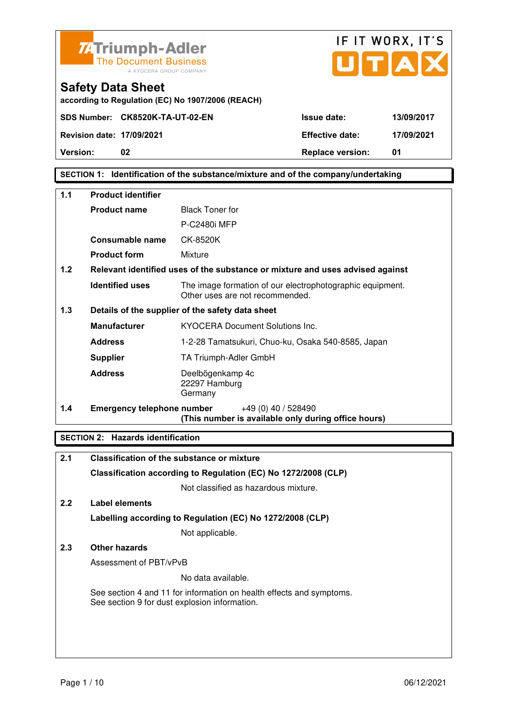



IF IT WORX, IT'S

### **SECTION 1: Identification of the substance/mixture and of the company/undertaking**

| $1.1$ | <b>Product identifier</b>         |                                                                                              |  |
|-------|-----------------------------------|----------------------------------------------------------------------------------------------|--|
|       | <b>Product name</b>               | <b>Black Toner for</b>                                                                       |  |
|       |                                   | <b>P-C2480i MFP</b>                                                                          |  |
|       | <b>Consumable name</b>            | CK-8520K                                                                                     |  |
|       | <b>Product form</b>               | Mixture                                                                                      |  |
| 1.2   |                                   | Relevant identified uses of the substance or mixture and uses advised against                |  |
|       | <b>Identified uses</b>            | The image formation of our electrophotographic equipment.<br>Other uses are not recommended. |  |
| 1.3   |                                   | Details of the supplier of the safety data sheet                                             |  |
|       | <b>Manufacturer</b>               | <b>KYOCERA Document Solutions Inc.</b>                                                       |  |
|       | <b>Address</b>                    | 1-2-28 Tamatsukuri, Chuo-ku, Osaka 540-8585, Japan                                           |  |
|       | <b>Supplier</b>                   | TA Triumph-Adler GmbH                                                                        |  |
|       | <b>Address</b>                    | Deelbögenkamp 4c<br>22297 Hamburg<br>Germany                                                 |  |
| 1.4   | <b>Emergency telephone number</b> | +49 (0) 40 / 528490<br>(This number is available only during office hours)                   |  |

### **SECTION 2: Hazards identification**

| 2.1 | <b>Classification of the substance or mixture</b>                                                                     |
|-----|-----------------------------------------------------------------------------------------------------------------------|
|     | Classification according to Regulation (EC) No 1272/2008 (CLP)                                                        |
|     | Not classified as hazardous mixture.                                                                                  |
| 2.2 | Label elements                                                                                                        |
|     | Labelling according to Regulation (EC) No 1272/2008 (CLP)                                                             |
|     | Not applicable.                                                                                                       |
| 2.3 | Other hazards                                                                                                         |
|     | Assessment of PBT/vPvB                                                                                                |
|     | No data available.                                                                                                    |
|     | See section 4 and 11 for information on health effects and symptoms.<br>See section 9 for dust explosion information. |
|     |                                                                                                                       |
|     |                                                                                                                       |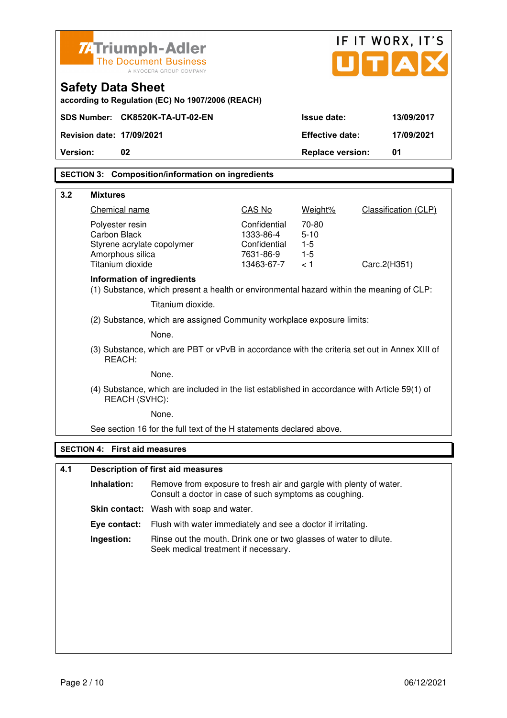|          |                                                                                                                |                                                                                                                              |                           |                         | IF IT WORX, IT'S     |
|----------|----------------------------------------------------------------------------------------------------------------|------------------------------------------------------------------------------------------------------------------------------|---------------------------|-------------------------|----------------------|
|          |                                                                                                                | ZATriumph-Adler<br><b>The Document Business</b><br>A KYOCERA GROUP COMPANY                                                   |                           |                         | UTA                  |
|          | <b>Safety Data Sheet</b>                                                                                       | according to Regulation (EC) No 1907/2006 (REACH)                                                                            |                           |                         |                      |
|          |                                                                                                                | SDS Number: CK8520K-TA-UT-02-EN                                                                                              |                           | <b>Issue date:</b>      | 13/09/2017           |
|          | <b>Revision date: 17/09/2021</b>                                                                               |                                                                                                                              |                           | <b>Effective date:</b>  | 17/09/2021           |
| Version: | 02                                                                                                             |                                                                                                                              |                           | <b>Replace version:</b> | 01                   |
|          |                                                                                                                | <b>SECTION 3: Composition/information on ingredients</b>                                                                     |                           |                         |                      |
|          |                                                                                                                |                                                                                                                              |                           |                         |                      |
| 3.2      | <b>Mixtures</b><br>Chemical name                                                                               |                                                                                                                              | CAS No                    | Weight%                 | Classification (CLP) |
|          | Polyester resin                                                                                                |                                                                                                                              | Confidential              | 70-80                   |                      |
|          | <b>Carbon Black</b>                                                                                            |                                                                                                                              | 1333-86-4                 | $5 - 10$                |                      |
|          | Styrene acrylate copolymer<br>Amorphous silica                                                                 |                                                                                                                              | Confidential<br>7631-86-9 | $1 - 5$<br>$1-5$        |                      |
|          | Titanium dioxide                                                                                               |                                                                                                                              | 13463-67-7                | < 1                     | Carc.2(H351)         |
|          | <b>Information of ingredients</b>                                                                              | (1) Substance, which present a health or environmental hazard within the meaning of CLP:                                     |                           |                         |                      |
|          |                                                                                                                | Titanium dioxide.                                                                                                            |                           |                         |                      |
|          | (2) Substance, which are assigned Community workplace exposure limits:                                         |                                                                                                                              |                           |                         |                      |
|          | None.                                                                                                          |                                                                                                                              |                           |                         |                      |
|          | (3) Substance, which are PBT or vPvB in accordance with the criteria set out in Annex XIII of<br>REACH:        |                                                                                                                              |                           |                         |                      |
|          | None.                                                                                                          |                                                                                                                              |                           |                         |                      |
|          | (4) Substance, which are included in the list established in accordance with Article 59(1) of<br>REACH (SVHC): |                                                                                                                              |                           |                         |                      |
|          | None.                                                                                                          |                                                                                                                              |                           |                         |                      |
|          |                                                                                                                | See section 16 for the full text of the H statements declared above.                                                         |                           |                         |                      |
|          | <b>SECTION 4: First aid measures</b>                                                                           |                                                                                                                              |                           |                         |                      |
| 4.1      |                                                                                                                | <b>Description of first aid measures</b>                                                                                     |                           |                         |                      |
|          | Inhalation:                                                                                                    | Remove from exposure to fresh air and gargle with plenty of water.<br>Consult a doctor in case of such symptoms as coughing. |                           |                         |                      |
|          |                                                                                                                | Skin contact: Wash with soap and water.                                                                                      |                           |                         |                      |
|          | Eye contact:                                                                                                   | Flush with water immediately and see a doctor if irritating.                                                                 |                           |                         |                      |
|          | Ingestion:                                                                                                     | Rinse out the mouth. Drink one or two glasses of water to dilute.<br>Seek medical treatment if necessary.                    |                           |                         |                      |
|          |                                                                                                                |                                                                                                                              |                           |                         |                      |
|          |                                                                                                                |                                                                                                                              |                           |                         |                      |
|          |                                                                                                                |                                                                                                                              |                           |                         |                      |
|          |                                                                                                                |                                                                                                                              |                           |                         |                      |
|          |                                                                                                                |                                                                                                                              |                           |                         |                      |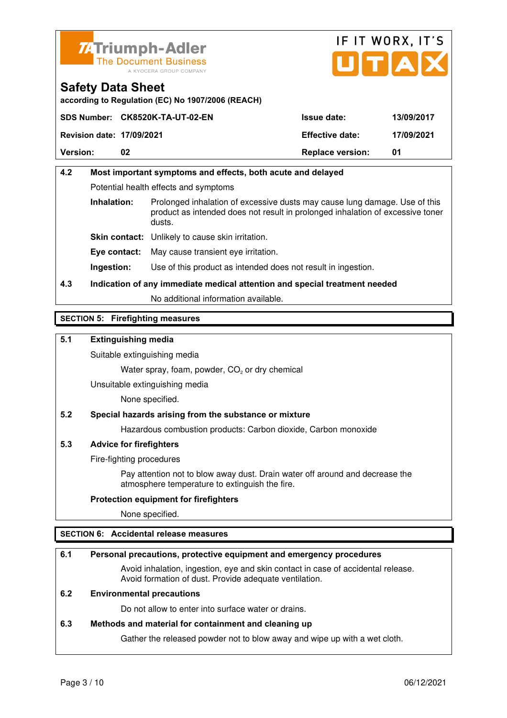



**according to Regulation (EC) No 1907/2006 (REACH)**

|                                  | SDS Number: CK8520K-TA-UT-02-EN | <b>Issue date:</b>      | 13/09/2017 |
|----------------------------------|---------------------------------|-------------------------|------------|
| <b>Revision date: 17/09/2021</b> |                                 | <b>Effective date:</b>  | 17/09/2021 |
| <b>Version:</b>                  | 02                              | <b>Replace version:</b> | 01         |

## **4.2 Most important symptoms and effects, both acute and delayed**  Potential health effects and symptoms **Inhalation:** Prolonged inhalation of excessive dusts may cause lung damage. Use of this product as intended does not result in prolonged inhalation of excessive toner dusts. **Skin contact:** Unlikely to cause skin irritation. **Eye contact:** May cause transient eye irritation.

**Ingestion:** Use of this product as intended does not result in ingestion.

## **4.3 Indication of any immediate medical attention and special treatment needed**

No additional information available.

### **SECTION 5: Firefighting measures**

### **5.1 Extinguishing media**

Suitable extinguishing media

Water spray, foam, powder,  $CO<sub>2</sub>$  or dry chemical

Unsuitable extinguishing media

None specified.

#### **5.2 Special hazards arising from the substance or mixture**

Hazardous combustion products: Carbon dioxide, Carbon monoxide

#### **5.3 Advice for firefighters**

Fire-fighting procedures

 Pay attention not to blow away dust. Drain water off around and decrease the atmosphere temperature to extinguish the fire.

#### **Protection equipment for firefighters**

None specified.

#### **SECTION 6: Accidental release measures**

#### **6.1 Personal precautions, protective equipment and emergency procedures**

 Avoid inhalation, ingestion, eye and skin contact in case of accidental release. Avoid formation of dust. Provide adequate ventilation.

### **6.2 Environmental precautions**

Do not allow to enter into surface water or drains.

#### **6.3 Methods and material for containment and cleaning up**

Gather the released powder not to blow away and wipe up with a wet cloth.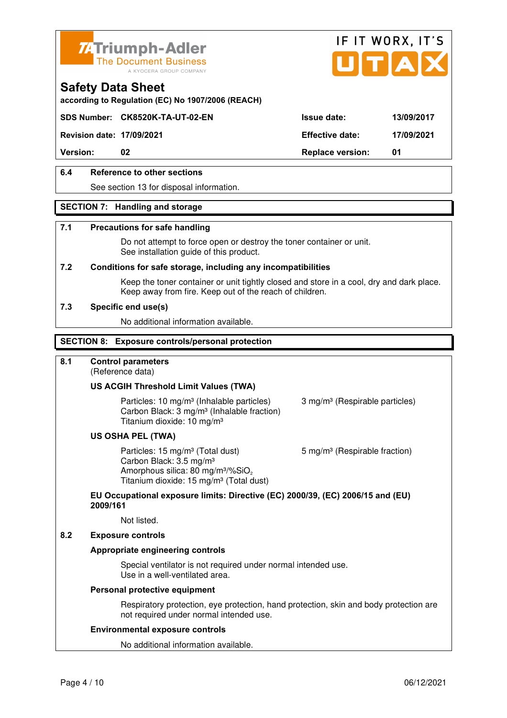



**according to Regulation (EC) No 1907/2006 (REACH)**

**Revision date: 17/09/2021 Effective date: 17/09/2021** 

**Safety Data Sheet** 

**Version:** 02 **Replace version:** 01

### **6.4 Reference to other sections**

See section 13 for disposal information.

#### **SECTION 7: Handling and storage**

#### **7.1 Precautions for safe handling**

 Do not attempt to force open or destroy the toner container or unit. See installation guide of this product.

#### **7.2 Conditions for safe storage, including any incompatibilities**

Keep the toner container or unit tightly closed and store in a cool, dry and dark place. Keep away from fire. Keep out of the reach of children.

#### **7.3 Specific end use(s)**

No additional information available.

#### **SECTION 8: Exposure controls/personal protection**

### **8.1 Control parameters**

(Reference data)

#### **US ACGIH Threshold Limit Values (TWA)**

Particles: 10 mg/m<sup>3</sup> (Inhalable particles) 3 mg/m<sup>3</sup> (Respirable particles) Carbon Black: 3 mg/m³ (Inhalable fraction) Titanium dioxide: 10 mg/m³

#### **US OSHA PEL (TWA)**

Particles: 15 mg/m<sup>3</sup> (Total dust) 5 mg/m<sup>3</sup> (Respirable fraction) Carbon Black: 3.5 mg/m³ Amorphous silica:  $80 \text{ mg/m}^3/\% \text{SiO}_2$ Titanium dioxide: 15 mg/m<sup>3</sup> (Total dust)

### **EU Occupational exposure limits: Directive (EC) 2000/39, (EC) 2006/15 and (EU) 2009/161**

Not listed.

#### **8.2 Exposure controls**

#### **Appropriate engineering controls**

 Special ventilator is not required under normal intended use. Use in a well-ventilated area.

#### **Personal protective equipment**

 Respiratory protection, eye protection, hand protection, skin and body protection are not required under normal intended use.

#### **Environmental exposure controls**

No additional information available.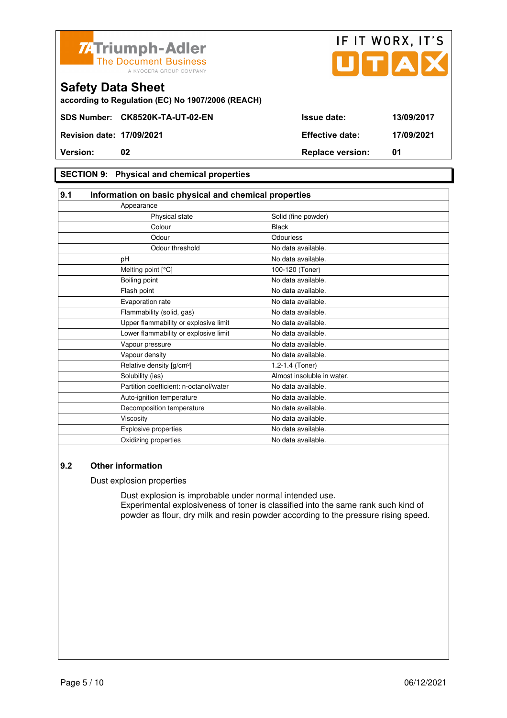



**according to Regulation (EC) No 1907/2006 (REACH)**

### **SECTION 9: Physical and chemical properties**

| 9.1                                    | Information on basic physical and chemical properties |  |  |
|----------------------------------------|-------------------------------------------------------|--|--|
| Appearance                             |                                                       |  |  |
| Physical state                         | Solid (fine powder)                                   |  |  |
| Colour                                 | <b>Black</b>                                          |  |  |
| Odour                                  | Odourless                                             |  |  |
| Odour threshold                        | No data available.                                    |  |  |
| pH                                     | No data available.                                    |  |  |
| Melting point [°C]                     | 100-120 (Toner)                                       |  |  |
| Boiling point                          | No data available.                                    |  |  |
| Flash point                            | No data available.                                    |  |  |
| Evaporation rate                       | No data available.                                    |  |  |
| Flammability (solid, gas)              | No data available.                                    |  |  |
| Upper flammability or explosive limit  | No data available.                                    |  |  |
| Lower flammability or explosive limit  | No data available.                                    |  |  |
| Vapour pressure                        | No data available.                                    |  |  |
| Vapour density                         | No data available.                                    |  |  |
| Relative density [g/cm <sup>3</sup> ]  | 1.2-1.4 (Toner)                                       |  |  |
| Solubility (ies)                       | Almost insoluble in water.                            |  |  |
| Partition coefficient: n-octanol/water | No data available.                                    |  |  |
| Auto-ignition temperature              | No data available.                                    |  |  |
| Decomposition temperature              | No data available.                                    |  |  |
| Viscosity                              | No data available.                                    |  |  |
| Explosive properties                   | No data available.                                    |  |  |
| Oxidizing properties                   | No data available.                                    |  |  |

### **9.2 Other information**

Dust explosion properties

 Dust explosion is improbable under normal intended use. Experimental explosiveness of toner is classified into the same rank such kind of powder as flour, dry milk and resin powder according to the pressure rising speed.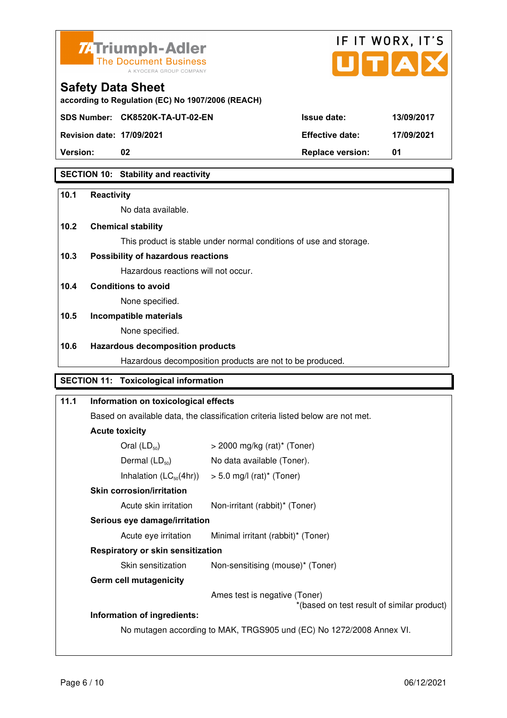



**Safety Data Sheet** 

| Version:                         | <b>Replace version:</b> | 01       |
|----------------------------------|-------------------------|----------|
| <b>Revision date: 17/09/2021</b> | <b>Effective date:</b>  | 17/09/20 |

### **SECTION 10: Stability and reactivity**

### **10.1 Reactivity**

No data available.

**according to Regulation (EC) No 1907/2006 (REACH)**

### **10.2 Chemical stability**

This product is stable under normal conditions of use and storage.

### **10.3 Possibility of hazardous reactions**

Hazardous reactions will not occur.

### **10.4 Conditions to avoid**

None specified.

## **10.5 Incompatible materials**

None specified.

### **10.6 Hazardous decomposition products**

Hazardous decomposition products are not to be produced.

### **SECTION 11: Toxicological information**

## **11.1 Information on toxicological effects**  Based on available data, the classification criteria listed below are not met. **Acute toxicity**  Oral  $(LD_{50})$   $>$  2000 mg/kg (rat)<sup>\*</sup> (Toner) Dermal  $(LD_{50})$  No data available (Toner). Inhalation  $(LC_{50}(4hr))$  > 5.0 mg/l (rat)\* (Toner)  **Skin corrosion/irritation** Acute skin irritation Non-irritant (rabbit)\* (Toner)  **Serious eye damage/irritation** Acute eye irritation Minimal irritant (rabbit)\* (Toner)  **Respiratory or skin sensitization**  Skin sensitization Mon-sensitising (mouse)\* (Toner)  **Germ cell mutagenicity** Ames test is negative (Toner) \*(based on test result of similar product) **Information of ingredients:**  No mutagen according to MAK, TRGS905 und (EC) No 1272/2008 Annex VI.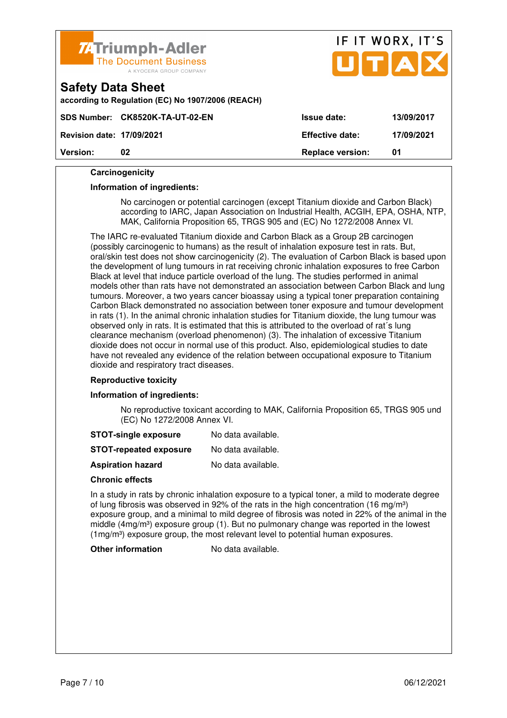

#### **Carcinogenicity**

#### **Information of ingredients:**

 No carcinogen or potential carcinogen (except Titanium dioxide and Carbon Black) according to IARC, Japan Association on Industrial Health, ACGIH, EPA, OSHA, NTP, MAK, California Proposition 65, TRGS 905 and (EC) No 1272/2008 Annex VI.

 The IARC re-evaluated Titanium dioxide and Carbon Black as a Group 2B carcinogen (possibly carcinogenic to humans) as the result of inhalation exposure test in rats. But, oral/skin test does not show carcinogenicity (2). The evaluation of Carbon Black is based upon the development of lung tumours in rat receiving chronic inhalation exposures to free Carbon Black at level that induce particle overload of the lung. The studies performed in animal models other than rats have not demonstrated an association between Carbon Black and lung tumours. Moreover, a two years cancer bioassay using a typical toner preparation containing Carbon Black demonstrated no association between toner exposure and tumour development in rats (1). In the animal chronic inhalation studies for Titanium dioxide, the lung tumour was observed only in rats. It is estimated that this is attributed to the overload of rat´s lung clearance mechanism (overload phenomenon) (3). The inhalation of excessive Titanium dioxide does not occur in normal use of this product. Also, epidemiological studies to date have not revealed any evidence of the relation between occupational exposure to Titanium dioxide and respiratory tract diseases.

#### **Reproductive toxicity**

#### **Information of ingredients:**

 No reproductive toxicant according to MAK, California Proposition 65, TRGS 905 und (EC) No 1272/2008 Annex VI.

| <b>STOT-single exposure</b> | No data available. |
|-----------------------------|--------------------|
|-----------------------------|--------------------|

**STOT-repeated exposure** No data available.

**Aspiration hazard** No data available.

#### **Chronic effects**

 In a study in rats by chronic inhalation exposure to a typical toner, a mild to moderate degree of lung fibrosis was observed in 92% of the rats in the high concentration (16 mg/m<sup>3</sup>) exposure group, and a minimal to mild degree of fibrosis was noted in 22% of the animal in the middle  $(4mg/m<sup>3</sup>)$  exposure group (1). But no pulmonary change was reported in the lowest (1mg/m<sup>3</sup>) exposure group, the most relevant level to potential human exposures.

#### **Other information** No data available.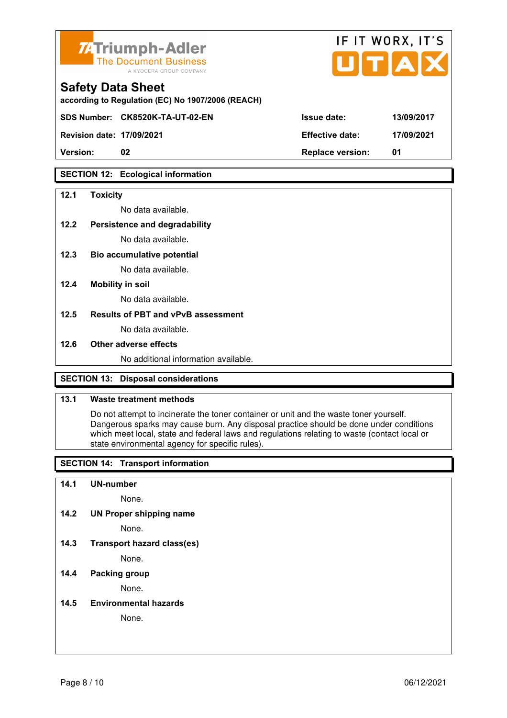

| <b>74 Triumph-Adler</b><br>The Document Business<br>A KYOCERA GROUP COMPANY   |                        | IF IT WORX, IT'S<br>UTAX |
|-------------------------------------------------------------------------------|------------------------|--------------------------|
| <b>Safety Data Sheet</b><br>according to Regulation (EC) No 1907/2006 (REACH) |                        |                          |
| SDS Number: CK8520K-TA-UT-02-EN                                               | Issue date:            | 13/09/2017               |
| <b>Revision date: 17/09/2021</b>                                              | <b>Effective date:</b> | 17/09/2021               |

**SECTION 12: Ecological information** 

#### **12.1 Toxicity**

No data available.

#### **12.2 Persistence and degradability**

No data available.

**12.3 Bio accumulative potential** 

No data available.

#### **12.4 Mobility in soil**

No data available.

#### **12.5 Results of PBT and vPvB assessment**

No data available.

#### **12.6 Other adverse effects**

No additional information available.

**Version: 02 Replace version: 01** 

### **SECTION 13: Disposal considerations**

### **13.1 Waste treatment methods**

 Do not attempt to incinerate the toner container or unit and the waste toner yourself. Dangerous sparks may cause burn. Any disposal practice should be done under conditions which meet local, state and federal laws and regulations relating to waste (contact local or state environmental agency for specific rules).

### **SECTION 14: Transport information**

#### **14.1 UN-number**

None.

**14.2 UN Proper shipping name** 

None.

**14.3 Transport hazard class(es)** 

None.

### **14.4 Packing group**

None.

#### **14.5 Environmental hazards**

None.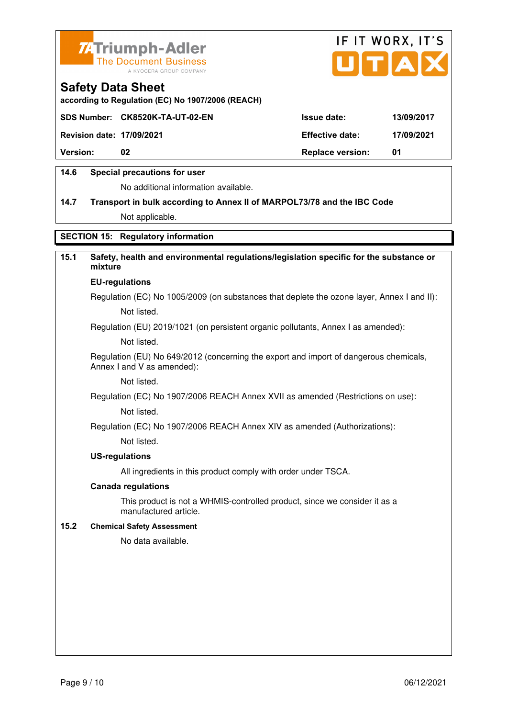



**according to Regulation (EC) No 1907/2006 (REACH)**

|                                  | SDS Number: CK8520K-TA-UT-02-EN | <b>Issue date:</b>      | 13/09/2017 |
|----------------------------------|---------------------------------|-------------------------|------------|
| <b>Revision date: 17/09/2021</b> |                                 | <b>Effective date:</b>  | 17/09/2021 |
| <b>Version:</b>                  | 02                              | <b>Replace version:</b> | 01         |
|                                  |                                 |                         |            |

### **14.6 Special precautions for user**

No additional information available.

## **14.7 Transport in bulk according to Annex II of MARPOL73/78 and the IBC Code** Not applicable.

### **SECTION 15: Regulatory information**

### **15.1 Safety, health and environmental regulations/legislation specific for the substance or mixture**

#### **EU-regulations**

Regulation (EC) No 1005/2009 (on substances that deplete the ozone layer, Annex I and II): Not listed.

Regulation (EU) 2019/1021 (on persistent organic pollutants, Annex I as amended):

Not listed.

 Regulation (EU) No 649/2012 (concerning the export and import of dangerous chemicals, Annex I and V as amended):

Not listed.

 Regulation (EC) No 1907/2006 REACH Annex XVII as amended (Restrictions on use): Not listed.

Regulation (EC) No 1907/2006 REACH Annex XIV as amended (Authorizations):

Not listed.

#### **US-regulations**

All ingredients in this product comply with order under TSCA.

#### **Canada regulations**

 This product is not a WHMIS-controlled product, since we consider it as a manufactured article.

#### **15.2 Chemical Safety Assessment**

No data available.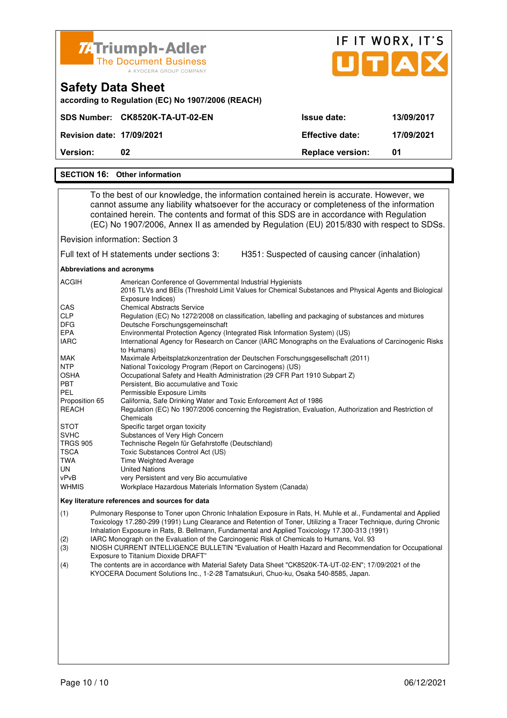| <b>74 Triumph-Adler</b><br><b>The Document Business</b><br>A KYOCERA GROUP COMPANY |                         | IF IT WORX, IT'S<br>UTAX |
|------------------------------------------------------------------------------------|-------------------------|--------------------------|
| <b>Safety Data Sheet</b><br>according to Regulation (EC) No 1907/2006 (REACH)      |                         |                          |
| SDS Number: CK8520K-TA-UT-02-EN                                                    | Issue date:             | 13/09/2017               |
| <b>Revision date: 17/09/2021</b>                                                   | <b>Effective date:</b>  | 17/09/2021               |
| Version:<br>02                                                                     | <b>Replace version:</b> | 01                       |
| <b>Other information</b><br><b>SECTION 16:</b>                                     |                         |                          |

 To the best of our knowledge, the information contained herein is accurate. However, we cannot assume any liability whatsoever for the accuracy or completeness of the information contained herein. The contents and format of this SDS are in accordance with Regulation (EC) No 1907/2006, Annex II as amended by Regulation (EU) 2015/830 with respect to SDSs.

Revision information: Section 3

Full text of H statements under sections 3: H351: Suspected of causing cancer (inhalation)

**Abbreviations and acronyms** 

| American Conference of Governmental Industrial Hygienists<br>2016 TLVs and BEIs (Threshold Limit Values for Chemical Substances and Physical Agents and Biological |
|--------------------------------------------------------------------------------------------------------------------------------------------------------------------|
| Exposure Indices)                                                                                                                                                  |
| <b>Chemical Abstracts Service</b>                                                                                                                                  |
| Regulation (EC) No 1272/2008 on classification, labelling and packaging of substances and mixtures                                                                 |
| Deutsche Forschungsgemeinschaft                                                                                                                                    |
| Environmental Protection Agency (Integrated Risk Information System) (US)                                                                                          |
| International Agency for Research on Cancer (IARC Monographs on the Evaluations of Carcinogenic Risks                                                              |
| to Humans)                                                                                                                                                         |
| Maximale Arbeitsplatzkonzentration der Deutschen Forschungsgesellschaft (2011)                                                                                     |
| National Toxicology Program (Report on Carcinogens) (US)                                                                                                           |
| Occupational Safety and Health Administration (29 CFR Part 1910 Subpart Z)                                                                                         |
| Persistent, Bio accumulative and Toxic                                                                                                                             |
| Permissible Exposure Limits                                                                                                                                        |
| California, Safe Drinking Water and Toxic Enforcement Act of 1986                                                                                                  |
| Regulation (EC) No 1907/2006 concerning the Registration, Evaluation, Authorization and Restriction of                                                             |
| Chemicals                                                                                                                                                          |
| Specific target organ toxicity                                                                                                                                     |
| Substances of Very High Concern                                                                                                                                    |
| Technische Regeln für Gefahrstoffe (Deutschland)                                                                                                                   |
| Toxic Substances Control Act (US)                                                                                                                                  |
| <b>Time Weighted Average</b>                                                                                                                                       |
| <b>United Nations</b>                                                                                                                                              |
| very Persistent and very Bio accumulative                                                                                                                          |
| Workplace Hazardous Materials Information System (Canada)                                                                                                          |
|                                                                                                                                                                    |

#### **Key literature references and sources for data**

(1) Pulmonary Response to Toner upon Chronic Inhalation Exposure in Rats, H. Muhle et al., Fundamental and Applied Toxicology 17.280-299 (1991) Lung Clearance and Retention of Toner, Utilizing a Tracer Technique, during Chronic Inhalation Exposure in Rats, B. Bellmann, Fundamental and Applied Toxicology 17.300-313 (1991)

(2) IARC Monograph on the Evaluation of the Carcinogenic Risk of Chemicals to Humans, Vol. 93

(3) NIOSH CURRENT INTELLIGENCE BULLETIN "Evaluation of Health Hazard and Recommendation for Occupational Exposure to Titanium Dioxide DRAFT"

(4) The contents are in accordance with Material Safety Data Sheet "CK8520K-TA-UT-02-EN"; 17/09/2021 of the KYOCERA Document Solutions Inc., 1-2-28 Tamatsukuri, Chuo-ku, Osaka 540-8585, Japan.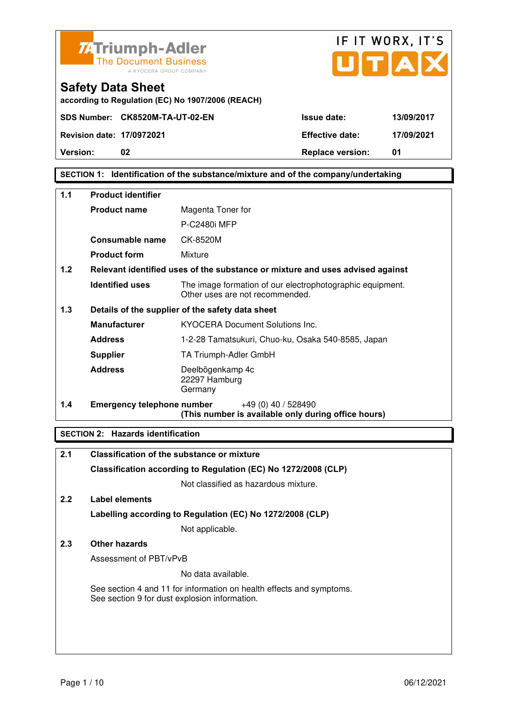

**SECTION 1: Identification of the substance/mixture and of the company/undertaking** 

| 1.1 | <b>Product identifier</b>         |                                                                                              |  |
|-----|-----------------------------------|----------------------------------------------------------------------------------------------|--|
|     | <b>Product name</b>               | Magenta Toner for                                                                            |  |
|     |                                   | <b>P-C2480i MFP</b>                                                                          |  |
|     | Consumable name                   | CK-8520M                                                                                     |  |
|     | <b>Product form</b>               | Mixture                                                                                      |  |
| 1.2 |                                   | Relevant identified uses of the substance or mixture and uses advised against                |  |
|     | <b>Identified uses</b>            | The image formation of our electrophotographic equipment.<br>Other uses are not recommended. |  |
| 1.3 |                                   | Details of the supplier of the safety data sheet                                             |  |
|     | <b>Manufacturer</b>               | <b>KYOCERA Document Solutions Inc.</b>                                                       |  |
|     | <b>Address</b>                    | 1-2-28 Tamatsukuri, Chuo-ku, Osaka 540-8585, Japan                                           |  |
|     | <b>Supplier</b>                   | TA Triumph-Adler GmbH                                                                        |  |
|     | <b>Address</b>                    | Deelbögenkamp 4c<br>22297 Hamburg<br>Germany                                                 |  |
| 1.4 | <b>Emergency telephone number</b> | $+49(0)$ 40 / 528490<br>(This number is available only during office hours)                  |  |

### **SECTION 2: Hazards identification**

| <b>Classification of the substance or mixture</b>                                                                     |
|-----------------------------------------------------------------------------------------------------------------------|
| Classification according to Regulation (EC) No 1272/2008 (CLP)                                                        |
| Not classified as hazardous mixture.                                                                                  |
| Label elements                                                                                                        |
| Labelling according to Regulation (EC) No 1272/2008 (CLP)                                                             |
| Not applicable.                                                                                                       |
| Other hazards                                                                                                         |
| Assessment of PBT/vPvB                                                                                                |
| No data available.                                                                                                    |
| See section 4 and 11 for information on health effects and symptoms.<br>See section 9 for dust explosion information. |
|                                                                                                                       |
|                                                                                                                       |
|                                                                                                                       |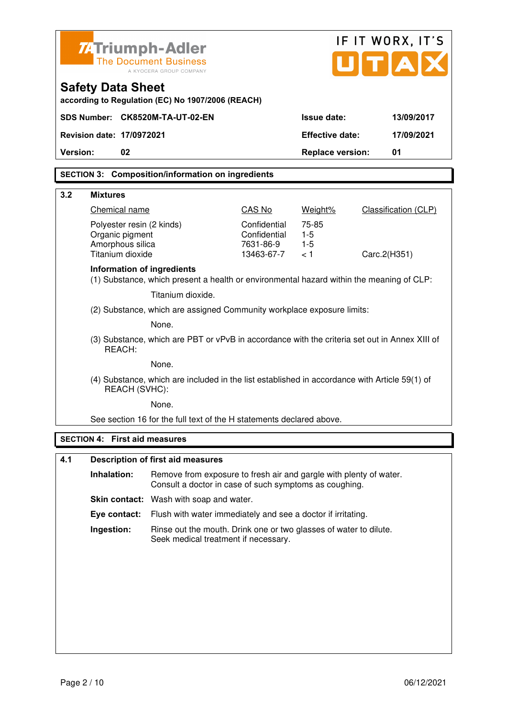|                                                                                                                | <b>ZATriumph-Adler</b>                                                 |                                                                                                                              |                         |                         | IF IT WORX, IT'S            |
|----------------------------------------------------------------------------------------------------------------|------------------------------------------------------------------------|------------------------------------------------------------------------------------------------------------------------------|-------------------------|-------------------------|-----------------------------|
|                                                                                                                |                                                                        | <b>The Document Business</b>                                                                                                 |                         |                         | JITIAI                      |
|                                                                                                                |                                                                        | A KYOCERA GROUP COMPANY                                                                                                      |                         |                         |                             |
|                                                                                                                | <b>Safety Data Sheet</b>                                               | according to Regulation (EC) No 1907/2006 (REACH)                                                                            |                         |                         |                             |
|                                                                                                                |                                                                        | SDS Number: CK8520M-TA-UT-02-EN                                                                                              |                         | <b>Issue date:</b>      | 13/09/2017                  |
|                                                                                                                | Revision date: 17/0972021                                              |                                                                                                                              |                         | <b>Effective date:</b>  | 17/09/2021                  |
| Version:                                                                                                       | 02                                                                     |                                                                                                                              |                         | <b>Replace version:</b> | 01                          |
|                                                                                                                |                                                                        | <b>SECTION 3: Composition/information on ingredients</b>                                                                     |                         |                         |                             |
|                                                                                                                |                                                                        |                                                                                                                              |                         |                         |                             |
| 3.2                                                                                                            | <b>Mixtures</b>                                                        |                                                                                                                              |                         |                         |                             |
|                                                                                                                | Chemical name                                                          |                                                                                                                              | CAS No<br>Confidential  | Weight%<br>75-85        | <b>Classification (CLP)</b> |
|                                                                                                                | Polyester resin (2 kinds)<br>Organic pigment                           |                                                                                                                              | Confidential            | $1-5$                   |                             |
|                                                                                                                | Amorphous silica<br>Titanium dioxide                                   |                                                                                                                              | 7631-86-9<br>13463-67-7 | $1-5$<br>< 1            | Carc.2(H351)                |
|                                                                                                                | Information of ingredients                                             |                                                                                                                              |                         |                         |                             |
|                                                                                                                |                                                                        | (1) Substance, which present a health or environmental hazard within the meaning of CLP:                                     |                         |                         |                             |
|                                                                                                                |                                                                        | Titanium dioxide.                                                                                                            |                         |                         |                             |
|                                                                                                                | (2) Substance, which are assigned Community workplace exposure limits: |                                                                                                                              |                         |                         |                             |
|                                                                                                                | None.                                                                  |                                                                                                                              |                         |                         |                             |
| (3) Substance, which are PBT or vPvB in accordance with the criteria set out in Annex XIII of<br>REACH:        |                                                                        |                                                                                                                              |                         |                         |                             |
|                                                                                                                |                                                                        | None.                                                                                                                        |                         |                         |                             |
| (4) Substance, which are included in the list established in accordance with Article 59(1) of<br>REACH (SVHC): |                                                                        |                                                                                                                              |                         |                         |                             |
|                                                                                                                |                                                                        | None.                                                                                                                        |                         |                         |                             |
|                                                                                                                |                                                                        | See section 16 for the full text of the H statements declared above.                                                         |                         |                         |                             |
|                                                                                                                | <b>SECTION 4: First aid measures</b>                                   |                                                                                                                              |                         |                         |                             |
| 4.1                                                                                                            |                                                                        | <b>Description of first aid measures</b>                                                                                     |                         |                         |                             |
|                                                                                                                | Inhalation:                                                            | Remove from exposure to fresh air and gargle with plenty of water.<br>Consult a doctor in case of such symptoms as coughing. |                         |                         |                             |
|                                                                                                                |                                                                        | Skin contact: Wash with soap and water.                                                                                      |                         |                         |                             |
|                                                                                                                | Eye contact:                                                           | Flush with water immediately and see a doctor if irritating.                                                                 |                         |                         |                             |
|                                                                                                                | Ingestion:                                                             | Rinse out the mouth. Drink one or two glasses of water to dilute.<br>Seek medical treatment if necessary.                    |                         |                         |                             |
|                                                                                                                |                                                                        |                                                                                                                              |                         |                         |                             |
|                                                                                                                |                                                                        |                                                                                                                              |                         |                         |                             |
|                                                                                                                |                                                                        |                                                                                                                              |                         |                         |                             |
|                                                                                                                |                                                                        |                                                                                                                              |                         |                         |                             |
|                                                                                                                |                                                                        |                                                                                                                              |                         |                         |                             |
|                                                                                                                |                                                                        |                                                                                                                              |                         |                         |                             |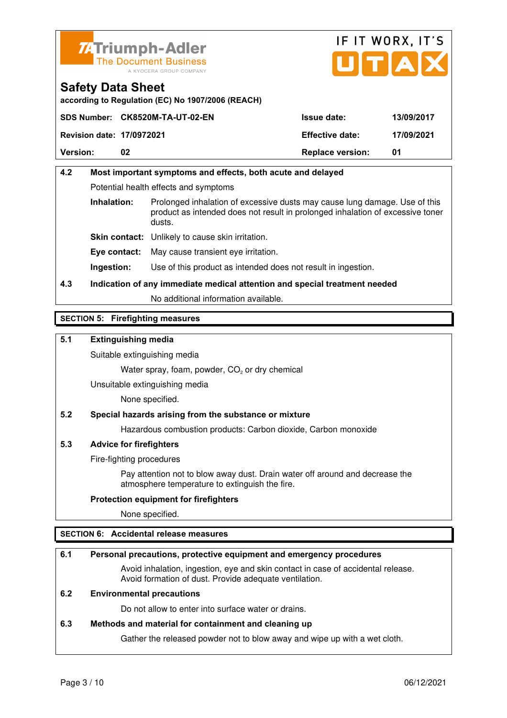



**according to Regulation (EC) No 1907/2006 (REACH)**

|                                  | SDS Number: CK8520M-TA-UT-02-EN | <b>Issue date:</b>      | 13/09/2017 |
|----------------------------------|---------------------------------|-------------------------|------------|
| <b>Revision date: 17/0972021</b> |                                 | <b>Effective date:</b>  | 17/09/2021 |
| <b>Version:</b>                  | 02                              | <b>Replace version:</b> | 01         |

## **4.2 Most important symptoms and effects, both acute and delayed**  Potential health effects and symptoms **Inhalation:** Prolonged inhalation of excessive dusts may cause lung damage. Use of this product as intended does not result in prolonged inhalation of excessive toner dusts. **Skin contact:** Unlikely to cause skin irritation. **Eye contact:** May cause transient eye irritation.

**Ingestion:** Use of this product as intended does not result in ingestion.

## **4.3 Indication of any immediate medical attention and special treatment needed**

No additional information available.

### **SECTION 5: Firefighting measures**

### **5.1 Extinguishing media**

Suitable extinguishing media

Water spray, foam, powder,  $CO<sub>2</sub>$  or dry chemical

Unsuitable extinguishing media

None specified.

### **5.2 Special hazards arising from the substance or mixture**

Hazardous combustion products: Carbon dioxide, Carbon monoxide

#### **5.3 Advice for firefighters**

Fire-fighting procedures

 Pay attention not to blow away dust. Drain water off around and decrease the atmosphere temperature to extinguish the fire.

#### **Protection equipment for firefighters**

None specified.

### **SECTION 6: Accidental release measures**

#### **6.1 Personal precautions, protective equipment and emergency procedures**

 Avoid inhalation, ingestion, eye and skin contact in case of accidental release. Avoid formation of dust. Provide adequate ventilation.

### **6.2 Environmental precautions**

Do not allow to enter into surface water or drains.

#### **6.3 Methods and material for containment and cleaning up**

Gather the released powder not to blow away and wipe up with a wet cloth.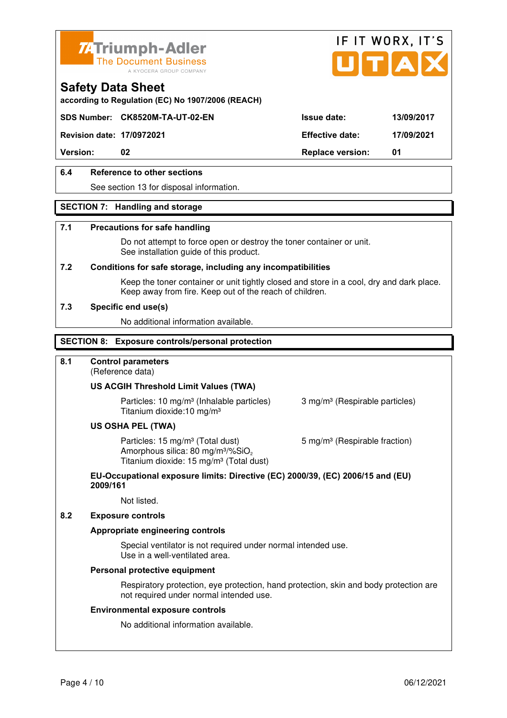



**according to Regulation (EC) No 1907/2006 (REACH)**

### **SDS Number: CK8520M-TA-UT-02-EN Issue date: 13/09/2017**

**Revision date: 17/0972021 Effective date: 17/09/2021** 

**Version:** 02 **Replace version:** 01

### **6.4 Reference to other sections**

See section 13 for disposal information.

#### **SECTION 7: Handling and storage**

#### **7.1 Precautions for safe handling**

 Do not attempt to force open or destroy the toner container or unit. See installation guide of this product.

#### **7.2 Conditions for safe storage, including any incompatibilities**

Keep the toner container or unit tightly closed and store in a cool, dry and dark place. Keep away from fire. Keep out of the reach of children.

#### **7.3 Specific end use(s)**

No additional information available.

#### **SECTION 8: Exposure controls/personal protection**

#### **8.1 Control parameters**

(Reference data)

#### **US ACGIH Threshold Limit Values (TWA)**

**Particles: 10 mg/m<sup>3</sup> (Inhalable particles) 3 mg/m<sup>3</sup> (Respirable particles)** Titanium dioxide:10 mg/m³

#### **US OSHA PEL (TWA)**

Particles: 15 mg/m<sup>3</sup> (Total dust) 5 mg/m<sup>3</sup> (Respirable fraction) Amorphous silica:  $80 \text{ mg/m}^3/\% \text{SiO}_2$ Titanium dioxide: 15 mg/m<sup>3</sup> (Total dust)

#### **EU-Occupational exposure limits: Directive (EC) 2000/39, (EC) 2006/15 and (EU) 2009/161**

Not listed.

#### **8.2 Exposure controls**

#### **Appropriate engineering controls**

 Special ventilator is not required under normal intended use. Use in a well-ventilated area.

#### **Personal protective equipment**

 Respiratory protection, eye protection, hand protection, skin and body protection are not required under normal intended use.

#### **Environmental exposure controls**

No additional information available.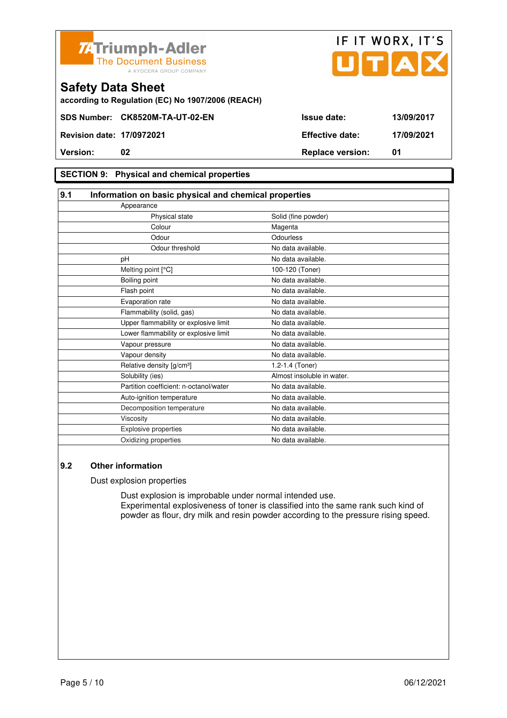



**according to Regulation (EC) No 1907/2006 (REACH)**

### **SECTION 9: Physical and chemical properties**

| 9.1 | Information on basic physical and chemical properties |                            |
|-----|-------------------------------------------------------|----------------------------|
|     | Appearance                                            |                            |
|     | Physical state                                        | Solid (fine powder)        |
|     | Colour                                                | Magenta                    |
|     | Odour                                                 | Odourless                  |
|     | Odour threshold                                       | No data available.         |
|     | рH                                                    | No data available.         |
|     | Melting point [°C]                                    | 100-120 (Toner)            |
|     | Boiling point                                         | No data available.         |
|     | Flash point                                           | No data available.         |
|     | Evaporation rate                                      | No data available.         |
|     | Flammability (solid, gas)                             | No data available.         |
|     | Upper flammability or explosive limit                 | No data available.         |
|     | Lower flammability or explosive limit                 | No data available.         |
|     | Vapour pressure                                       | No data available.         |
|     | Vapour density                                        | No data available.         |
|     | Relative density [g/cm <sup>3</sup> ]                 | 1.2-1.4 (Toner)            |
|     | Solubility (ies)                                      | Almost insoluble in water. |
|     | Partition coefficient: n-octanol/water                | No data available.         |
|     | Auto-ignition temperature                             | No data available.         |
|     | Decomposition temperature                             | No data available.         |
|     | Viscosity                                             | No data available.         |
|     | Explosive properties                                  | No data available.         |
|     | Oxidizing properties                                  | No data available.         |

### **9.2 Other information**

Dust explosion properties

 Dust explosion is improbable under normal intended use. Experimental explosiveness of toner is classified into the same rank such kind of powder as flour, dry milk and resin powder according to the pressure rising speed.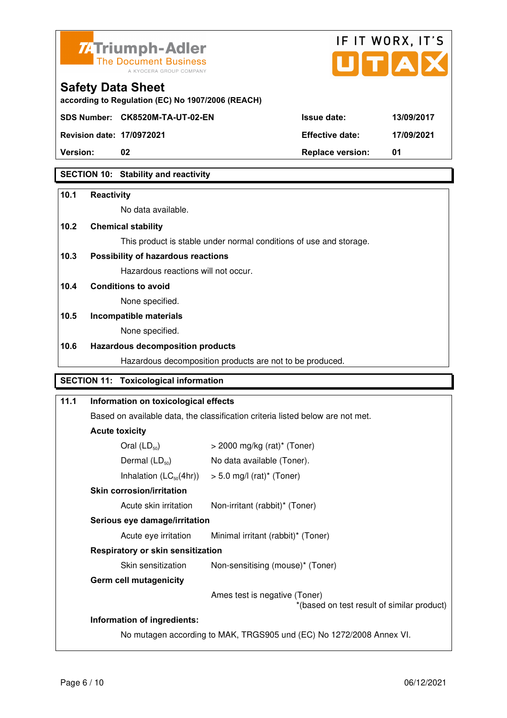

**according to Regulation (EC) No 1907/2006 (REACH)**



**Safety Data Sheet** 

| <b>Revision date: 17/0972021</b> | <b>Effective date:</b>  | 17/09/2021 |
|----------------------------------|-------------------------|------------|
| <b>Version:</b>                  | <b>Replace version:</b> |            |

### **SECTION 10: Stability and reactivity**

## **10.1 Reactivity**  No data available. **10.2 Chemical stability**  This product is stable under normal conditions of use and storage. **10.3 Possibility of hazardous reactions** Hazardous reactions will not occur. **10.4 Conditions to avoid**  None specified. **10.5 Incompatible materials**  None specified. **10.6 Hazardous decomposition products**  Hazardous decomposition products are not to be produced. **SECTION 11: Toxicological information 11.1 Information on toxicological effects**  Based on available data, the classification criteria listed below are not met. **Acute toxicity**

# Oral  $(LD_{50})$   $>$  2000 mg/kg (rat)<sup>\*</sup> (Toner) Dermal  $(LD_{50})$  No data available (Toner). Inhalation  $(LC_{50}(4hr))$  > 5.0 mg/l (rat)\* (Toner)  **Skin corrosion/irritation** Acute skin irritation Non-irritant (rabbit)\* (Toner)  **Serious eye damage/irritation** Acute eye irritation Minimal irritant (rabbit)\* (Toner)  **Respiratory or skin sensitization**  Skin sensitization Mon-sensitising (mouse)\* (Toner)  **Germ cell mutagenicity** Ames test is negative (Toner) \*(based on test result of similar product) **Information of ingredients:**

No mutagen according to MAK, TRGS905 und (EC) No 1272/2008 Annex VI.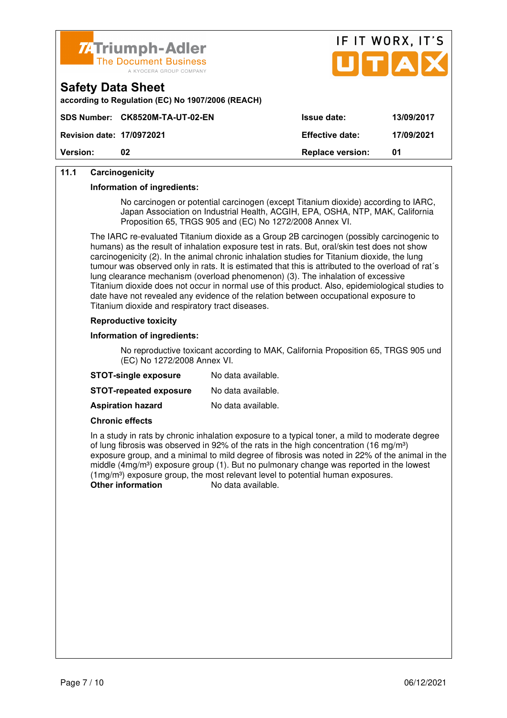



|                        | according to Regulation (EC) No 1907/2006 (REACH) |
|------------------------|---------------------------------------------------|
| <b>ARA House Lines</b> | AIZOFOOM TA UT OO FNL                             |

| <b>Version:</b>                  |                                 | <b>Replace version:</b> | 01         |
|----------------------------------|---------------------------------|-------------------------|------------|
| <b>Revision date: 17/0972021</b> |                                 | <b>Effective date:</b>  | 17/09/2021 |
|                                  | SDS Number: CK8520M-TA-UT-02-EN | <b>Issue date:</b>      | 13/09/2017 |

### **11.1 Carcinogenicity**

**Safety Data Sheet** 

#### **Information of ingredients:**

 No carcinogen or potential carcinogen (except Titanium dioxide) according to IARC, Japan Association on Industrial Health, ACGIH, EPA, OSHA, NTP, MAK, California Proposition 65, TRGS 905 and (EC) No 1272/2008 Annex VI.

 The IARC re-evaluated Titanium dioxide as a Group 2B carcinogen (possibly carcinogenic to humans) as the result of inhalation exposure test in rats. But, oral/skin test does not show carcinogenicity (2). In the animal chronic inhalation studies for Titanium dioxide, the lung tumour was observed only in rats. It is estimated that this is attributed to the overload of rat´s lung clearance mechanism (overload phenomenon) (3). The inhalation of excessive Titanium dioxide does not occur in normal use of this product. Also, epidemiological studies to date have not revealed any evidence of the relation between occupational exposure to Titanium dioxide and respiratory tract diseases.

#### **Reproductive toxicity**

#### **Information of ingredients:**

 No reproductive toxicant according to MAK, California Proposition 65, TRGS 905 und (EC) No 1272/2008 Annex VI.

| <b>STOT-single exposure</b>   | No data available. |
|-------------------------------|--------------------|
| <b>STOT-repeated exposure</b> | No data available. |
| <b>Aspiration hazard</b>      | No data available. |

#### **Chronic effects**

 In a study in rats by chronic inhalation exposure to a typical toner, a mild to moderate degree of lung fibrosis was observed in 92% of the rats in the high concentration (16 mg/m<sup>3</sup>) exposure group, and a minimal to mild degree of fibrosis was noted in 22% of the animal in the middle (4mg/m<sup>3</sup>) exposure group (1). But no pulmonary change was reported in the lowest  $(1 \text{mg/m}^3)$  exposure group, the most relevant level to potential human exposures.<br>Other information  $\log \frac{1}{2}$  No data available No data available.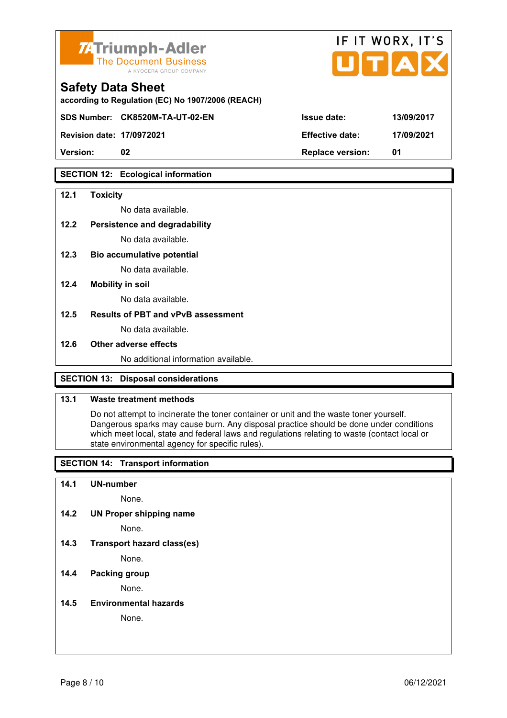

| <b>74 Triumph-Adler</b><br>The Document Business<br>A KYOCERA GROUP COMPANY   |                        | 11 11 YYUNA, 11 J<br>UTAX |
|-------------------------------------------------------------------------------|------------------------|---------------------------|
| <b>Safety Data Sheet</b><br>according to Regulation (EC) No 1907/2006 (REACH) |                        |                           |
| SDS Number: CK8520M-TA-UT-02-EN                                               | <b>Issue date:</b>     | 13/09/2017                |
| <b>Revision date: 17/0972021</b>                                              | <b>Effective date:</b> | 17/09/2021                |

IC IT WODY IT'S

**SECTION 12: Ecological information** 

#### **12.1 Toxicity**

No data available.

#### **12.2 Persistence and degradability**

No data available.

**12.3 Bio accumulative potential** 

No data available.

#### **12.4 Mobility in soil**

No data available.

#### **12.5 Results of PBT and vPvB assessment**

No data available.

#### **12.6 Other adverse effects**

No additional information available.

**Version: 02 Replace version: 01** 

### **SECTION 13: Disposal considerations**

### **13.1 Waste treatment methods**

 Do not attempt to incinerate the toner container or unit and the waste toner yourself. Dangerous sparks may cause burn. Any disposal practice should be done under conditions which meet local, state and federal laws and regulations relating to waste (contact local or state environmental agency for specific rules).

### **SECTION 14: Transport information**

#### **14.1 UN-number**

None.

**14.2 UN Proper shipping name** 

None.

**14.3 Transport hazard class(es)** 

None.

### **14.4 Packing group**

None.

#### **14.5 Environmental hazards**

None.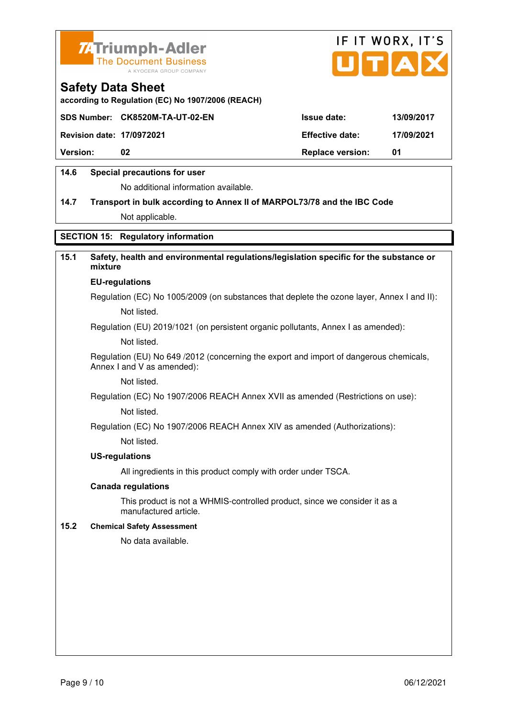



**according to Regulation (EC) No 1907/2006 (REACH)**

|                                  | SDS Number: CK8520M-TA-UT-02-EN | <b>Issue date:</b>      | 13/09/2017 |
|----------------------------------|---------------------------------|-------------------------|------------|
| <b>Revision date: 17/0972021</b> |                                 | <b>Effective date:</b>  | 17/09/2021 |
| <b>Version:</b>                  | 02                              | <b>Replace version:</b> | 01         |
|                                  |                                 |                         |            |

### **14.6 Special precautions for user**

No additional information available.

## **14.7 Transport in bulk according to Annex II of MARPOL73/78 and the IBC Code** Not applicable.

### **SECTION 15: Regulatory information**

### **15.1 Safety, health and environmental regulations/legislation specific for the substance or mixture**

#### **EU-regulations**

Regulation (EC) No 1005/2009 (on substances that deplete the ozone layer, Annex I and II): Not listed.

Regulation (EU) 2019/1021 (on persistent organic pollutants, Annex I as amended):

Not listed.

 Regulation (EU) No 649 /2012 (concerning the export and import of dangerous chemicals, Annex I and V as amended):

Not listed.

 Regulation (EC) No 1907/2006 REACH Annex XVII as amended (Restrictions on use): Not listed.

Regulation (EC) No 1907/2006 REACH Annex XIV as amended (Authorizations):

Not listed.

#### **US-regulations**

All ingredients in this product comply with order under TSCA.

#### **Canada regulations**

 This product is not a WHMIS-controlled product, since we consider it as a manufactured article.

#### **15.2 Chemical Safety Assessment**

No data available.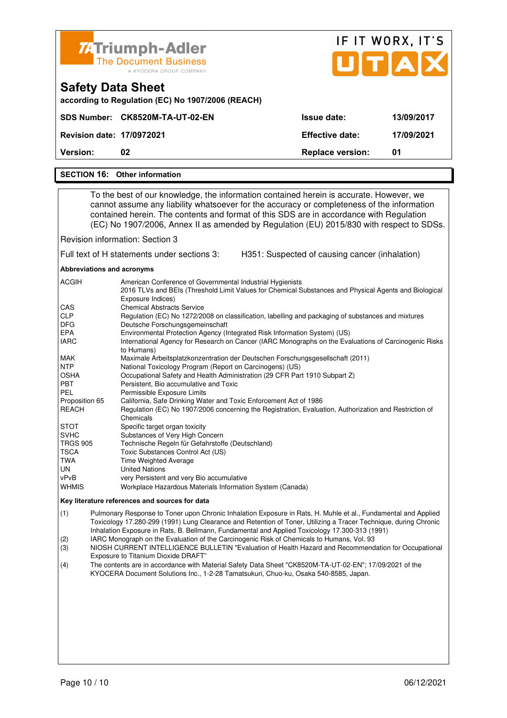| <b>74 Triumph-Adler</b><br><b>The Document Business</b><br>A KYOCERA GROUP COMPANY |                         | IF IT WORX, IT'S<br>UTAX |
|------------------------------------------------------------------------------------|-------------------------|--------------------------|
| <b>Safety Data Sheet</b><br>according to Regulation (EC) No 1907/2006 (REACH)      |                         |                          |
| SDS Number: CK8520M-TA-UT-02-EN                                                    | Issue date:             | 13/09/2017               |
| <b>Revision date: 17/0972021</b>                                                   | <b>Effective date:</b>  | 17/09/2021               |
| Version:<br>02                                                                     | <b>Replace version:</b> | 01                       |
| <b>SECTION 16: Other information</b>                                               |                         |                          |

 To the best of our knowledge, the information contained herein is accurate. However, we cannot assume any liability whatsoever for the accuracy or completeness of the information contained herein. The contents and format of this SDS are in accordance with Regulation (EC) No 1907/2006, Annex II as amended by Regulation (EU) 2015/830 with respect to SDSs.

Revision information: Section 3

Full text of H statements under sections 3: H351: Suspected of causing cancer (inhalation)

**Abbreviations and acronyms** 

| American Conference of Governmental Industrial Hygienists<br>2016 TLVs and BEIs (Threshold Limit Values for Chemical Substances and Physical Agents and Biological |
|--------------------------------------------------------------------------------------------------------------------------------------------------------------------|
| Exposure Indices)                                                                                                                                                  |
| <b>Chemical Abstracts Service</b>                                                                                                                                  |
| Regulation (EC) No 1272/2008 on classification, labelling and packaging of substances and mixtures                                                                 |
| Deutsche Forschungsgemeinschaft                                                                                                                                    |
| Environmental Protection Agency (Integrated Risk Information System) (US)                                                                                          |
| International Agency for Research on Cancer (IARC Monographs on the Evaluations of Carcinogenic Risks                                                              |
| to Humans)                                                                                                                                                         |
| Maximale Arbeitsplatzkonzentration der Deutschen Forschungsgesellschaft (2011)                                                                                     |
| National Toxicology Program (Report on Carcinogens) (US)                                                                                                           |
| Occupational Safety and Health Administration (29 CFR Part 1910 Subpart Z)                                                                                         |
| Persistent, Bio accumulative and Toxic                                                                                                                             |
| Permissible Exposure Limits                                                                                                                                        |
| California, Safe Drinking Water and Toxic Enforcement Act of 1986                                                                                                  |
| Regulation (EC) No 1907/2006 concerning the Registration, Evaluation, Authorization and Restriction of                                                             |
| Chemicals                                                                                                                                                          |
| Specific target organ toxicity                                                                                                                                     |
| Substances of Very High Concern                                                                                                                                    |
| Technische Regeln für Gefahrstoffe (Deutschland)                                                                                                                   |
| Toxic Substances Control Act (US)                                                                                                                                  |
| <b>Time Weighted Average</b>                                                                                                                                       |
| <b>United Nations</b>                                                                                                                                              |
| very Persistent and very Bio accumulative                                                                                                                          |
| Workplace Hazardous Materials Information System (Canada)                                                                                                          |
|                                                                                                                                                                    |

#### **Key literature references and sources for data**

(1) Pulmonary Response to Toner upon Chronic Inhalation Exposure in Rats, H. Muhle et al., Fundamental and Applied Toxicology 17.280-299 (1991) Lung Clearance and Retention of Toner, Utilizing a Tracer Technique, during Chronic Inhalation Exposure in Rats, B. Bellmann, Fundamental and Applied Toxicology 17.300-313 (1991)

(2) IARC Monograph on the Evaluation of the Carcinogenic Risk of Chemicals to Humans, Vol. 93

(3) NIOSH CURRENT INTELLIGENCE BULLETIN "Evaluation of Health Hazard and Recommendation for Occupational Exposure to Titanium Dioxide DRAFT"

(4) The contents are in accordance with Material Safety Data Sheet "CK8520M-TA-UT-02-EN"; 17/09/2021 of the KYOCERA Document Solutions Inc., 1-2-28 Tamatsukuri, Chuo-ku, Osaka 540-8585, Japan.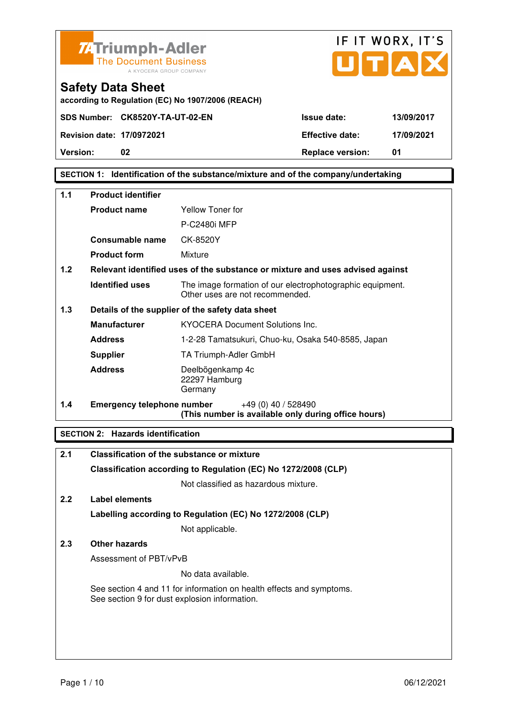

**SECTION 1: Identification of the substance/mixture and of the company/undertaking** 

| 1.1 | <b>Product identifier</b>         |                                                                                              |  |  |
|-----|-----------------------------------|----------------------------------------------------------------------------------------------|--|--|
|     | <b>Product name</b>               | Yellow Toner for                                                                             |  |  |
|     |                                   | P-C2480i MFP                                                                                 |  |  |
|     | Consumable name                   | CK-8520Y                                                                                     |  |  |
|     | <b>Product form</b>               | Mixture                                                                                      |  |  |
| 1.2 |                                   | Relevant identified uses of the substance or mixture and uses advised against                |  |  |
|     | <b>Identified uses</b>            | The image formation of our electrophotographic equipment.<br>Other uses are not recommended. |  |  |
| 1.3 |                                   | Details of the supplier of the safety data sheet                                             |  |  |
|     | <b>Manufacturer</b>               | <b>KYOCERA Document Solutions Inc.</b>                                                       |  |  |
|     | <b>Address</b>                    | 1-2-28 Tamatsukuri, Chuo-ku, Osaka 540-8585, Japan                                           |  |  |
|     | <b>Supplier</b>                   | TA Triumph-Adler GmbH                                                                        |  |  |
|     | <b>Address</b>                    | Deelbögenkamp 4c<br>22297 Hamburg<br>Germany                                                 |  |  |
| 1.4 | <b>Emergency telephone number</b> | $+49(0)$ 40 / 528490<br>(This number is available only during office hours)                  |  |  |

### **SECTION 2: Hazards identification**

| 2.1           | Classification of the substance or mixture                                                                            |
|---------------|-----------------------------------------------------------------------------------------------------------------------|
|               | Classification according to Regulation (EC) No 1272/2008 (CLP)                                                        |
|               | Not classified as hazardous mixture.                                                                                  |
| $2.2^{\circ}$ | Label elements                                                                                                        |
|               | Labelling according to Regulation (EC) No 1272/2008 (CLP)                                                             |
|               | Not applicable.                                                                                                       |
| 2.3           | Other hazards                                                                                                         |
|               | Assessment of PBT/vPvB                                                                                                |
|               | No data available.                                                                                                    |
|               | See section 4 and 11 for information on health effects and symptoms.<br>See section 9 for dust explosion information. |
|               |                                                                                                                       |
|               |                                                                                                                       |
|               |                                                                                                                       |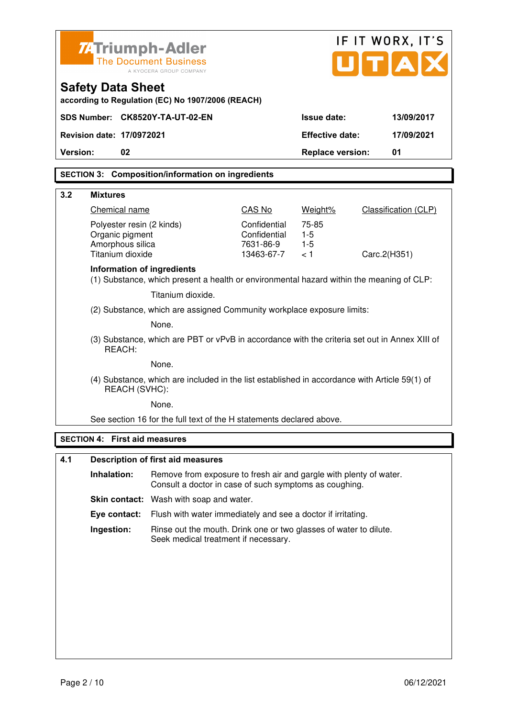| <b>74 Triumph-Adler</b>                                                       |                                                                                                                              |                              | IF IT WORX, IT'S        |                             |  |  |
|-------------------------------------------------------------------------------|------------------------------------------------------------------------------------------------------------------------------|------------------------------|-------------------------|-----------------------------|--|--|
| <b>The Document Business</b><br>A KYOCERA GROUP COMPANY                       |                                                                                                                              |                              |                         | JITIA                       |  |  |
| <b>Safety Data Sheet</b><br>according to Regulation (EC) No 1907/2006 (REACH) |                                                                                                                              |                              |                         |                             |  |  |
| SDS Number: CK8520Y-TA-UT-02-EN                                               |                                                                                                                              |                              | Issue date:             | 13/09/2017                  |  |  |
| <b>Revision date: 17/0972021</b>                                              |                                                                                                                              |                              | <b>Effective date:</b>  | 17/09/2021                  |  |  |
| Version:<br>02                                                                |                                                                                                                              |                              | <b>Replace version:</b> | 01                          |  |  |
|                                                                               | <b>SECTION 3: Composition/information on ingredients</b>                                                                     |                              |                         |                             |  |  |
| 3.2<br><b>Mixtures</b>                                                        |                                                                                                                              |                              |                         |                             |  |  |
| Chemical name                                                                 |                                                                                                                              | CAS No                       | Weight%                 | <b>Classification (CLP)</b> |  |  |
| Polyester resin (2 kinds)                                                     |                                                                                                                              | Confidential<br>Confidential | 75-85<br>$1-5$          |                             |  |  |
| Organic pigment<br>Amorphous silica                                           |                                                                                                                              | 7631-86-9                    | $1 - 5$                 |                             |  |  |
| Titanium dioxide                                                              |                                                                                                                              | 13463-67-7                   | < 1                     | Carc.2(H351)                |  |  |
| <b>Information of ingredients</b>                                             | (1) Substance, which present a health or environmental hazard within the meaning of CLP:                                     |                              |                         |                             |  |  |
|                                                                               | Titanium dioxide.                                                                                                            |                              |                         |                             |  |  |
|                                                                               | (2) Substance, which are assigned Community workplace exposure limits:                                                       |                              |                         |                             |  |  |
|                                                                               | None.                                                                                                                        |                              |                         |                             |  |  |
| REACH:                                                                        | (3) Substance, which are PBT or vPvB in accordance with the criteria set out in Annex XIII of                                |                              |                         |                             |  |  |
|                                                                               | None.                                                                                                                        |                              |                         |                             |  |  |
| REACH (SVHC):                                                                 | (4) Substance, which are included in the list established in accordance with Article 59(1) of                                |                              |                         |                             |  |  |
|                                                                               | None.                                                                                                                        |                              |                         |                             |  |  |
|                                                                               | See section 16 for the full text of the H statements declared above.                                                         |                              |                         |                             |  |  |
| <b>SECTION 4: First aid measures</b>                                          |                                                                                                                              |                              |                         |                             |  |  |
| 4.1                                                                           | <b>Description of first aid measures</b>                                                                                     |                              |                         |                             |  |  |
| Inhalation:                                                                   | Remove from exposure to fresh air and gargle with plenty of water.<br>Consult a doctor in case of such symptoms as coughing. |                              |                         |                             |  |  |
|                                                                               | Skin contact: Wash with soap and water.                                                                                      |                              |                         |                             |  |  |
| Eye contact:                                                                  | Flush with water immediately and see a doctor if irritating.                                                                 |                              |                         |                             |  |  |
| Ingestion:                                                                    | Rinse out the mouth. Drink one or two glasses of water to dilute.<br>Seek medical treatment if necessary.                    |                              |                         |                             |  |  |
|                                                                               |                                                                                                                              |                              |                         |                             |  |  |
|                                                                               |                                                                                                                              |                              |                         |                             |  |  |
|                                                                               |                                                                                                                              |                              |                         |                             |  |  |
|                                                                               |                                                                                                                              |                              |                         |                             |  |  |
|                                                                               |                                                                                                                              |                              |                         |                             |  |  |
|                                                                               |                                                                                                                              |                              |                         |                             |  |  |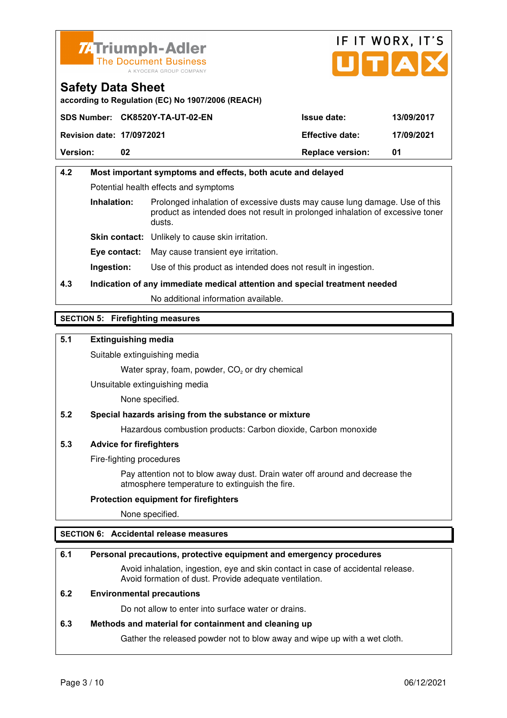



**according to Regulation (EC) No 1907/2006 (REACH)**

|                                  | SDS Number: CK8520Y-TA-UT-02-EN | <b>Issue date:</b>      | 13/09/2017 |
|----------------------------------|---------------------------------|-------------------------|------------|
| <b>Revision date: 17/0972021</b> |                                 | <b>Effective date:</b>  | 17/09/2021 |
| <b>Version:</b>                  | 02                              | <b>Replace version:</b> | -01        |

## **4.2 Most important symptoms and effects, both acute and delayed**  Potential health effects and symptoms **Inhalation:** Prolonged inhalation of excessive dusts may cause lung damage. Use of this product as intended does not result in prolonged inhalation of excessive toner dusts. **Skin contact:** Unlikely to cause skin irritation. **Eye contact:** May cause transient eye irritation.

**Ingestion:** Use of this product as intended does not result in ingestion.

## **4.3 Indication of any immediate medical attention and special treatment needed**

No additional information available.

### **SECTION 5: Firefighting measures**

### **5.1 Extinguishing media**

Suitable extinguishing media

Water spray, foam, powder,  $CO<sub>2</sub>$  or dry chemical

Unsuitable extinguishing media

None specified.

#### **5.2 Special hazards arising from the substance or mixture**

Hazardous combustion products: Carbon dioxide, Carbon monoxide

#### **5.3 Advice for firefighters**

Fire-fighting procedures

 Pay attention not to blow away dust. Drain water off around and decrease the atmosphere temperature to extinguish the fire.

#### **Protection equipment for firefighters**

None specified.

#### **SECTION 6: Accidental release measures**

#### **6.1 Personal precautions, protective equipment and emergency procedures**

 Avoid inhalation, ingestion, eye and skin contact in case of accidental release. Avoid formation of dust. Provide adequate ventilation.

#### **6.2 Environmental precautions**

Do not allow to enter into surface water or drains.

#### **6.3 Methods and material for containment and cleaning up**

Gather the released powder not to blow away and wipe up with a wet cloth.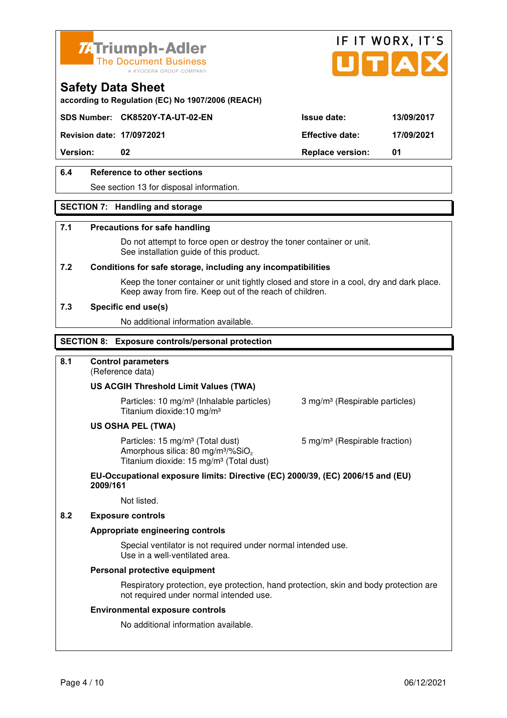



**according to Regulation (EC) No 1907/2006 (REACH)**

### **SDS Number: CK8520Y-TA-UT-02-EN Issue date: 13/09/2017**

**Revision date: 17/0972021 Effective date: 17/09/2021** 

**Version:** 02 **Replace version:** 01

### **6.4 Reference to other sections**

See section 13 for disposal information.

#### **SECTION 7: Handling and storage**

#### **7.1 Precautions for safe handling**

 Do not attempt to force open or destroy the toner container or unit. See installation guide of this product.

#### **7.2 Conditions for safe storage, including any incompatibilities**

Keep the toner container or unit tightly closed and store in a cool, dry and dark place. Keep away from fire. Keep out of the reach of children.

#### **7.3 Specific end use(s)**

No additional information available.

#### **SECTION 8: Exposure controls/personal protection**

#### **8.1 Control parameters**

(Reference data)

#### **US ACGIH Threshold Limit Values (TWA)**

**Particles: 10 mg/m<sup>3</sup> (Inhalable particles) 3 mg/m<sup>3</sup> (Respirable particles)** Titanium dioxide:10 mg/m³

#### **US OSHA PEL (TWA)**

Particles: 15 mg/m<sup>3</sup> (Total dust) 5 mg/m<sup>3</sup> (Respirable fraction) Amorphous silica:  $80 \text{ mg/m}^3/\% \text{SiO}_2$ Titanium dioxide: 15 mg/m<sup>3</sup> (Total dust)

#### **EU-Occupational exposure limits: Directive (EC) 2000/39, (EC) 2006/15 and (EU) 2009/161**

Not listed.

#### **8.2 Exposure controls**

#### **Appropriate engineering controls**

 Special ventilator is not required under normal intended use. Use in a well-ventilated area.

#### **Personal protective equipment**

 Respiratory protection, eye protection, hand protection, skin and body protection are not required under normal intended use.

#### **Environmental exposure controls**

No additional information available.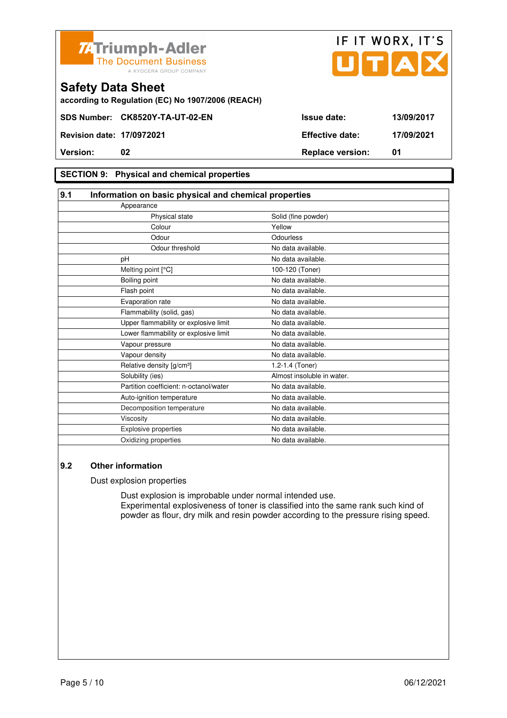



**according to Regulation (EC) No 1907/2006 (REACH)**

### **SECTION 9: Physical and chemical properties**

| 9.1 | Information on basic physical and chemical properties |                            |  |
|-----|-------------------------------------------------------|----------------------------|--|
|     | Appearance                                            |                            |  |
|     | Physical state                                        | Solid (fine powder)        |  |
|     | Colour                                                | Yellow                     |  |
|     | Odour                                                 | Odourless                  |  |
|     | Odour threshold                                       | No data available.         |  |
|     | pH                                                    | No data available.         |  |
|     | Melting point [°C]                                    | 100-120 (Toner)            |  |
|     | Boiling point                                         | No data available.         |  |
|     | Flash point                                           | No data available.         |  |
|     | Evaporation rate                                      | No data available.         |  |
|     | Flammability (solid, gas)                             | No data available.         |  |
|     | Upper flammability or explosive limit                 | No data available.         |  |
|     | Lower flammability or explosive limit                 | No data available.         |  |
|     | Vapour pressure                                       | No data available.         |  |
|     | Vapour density                                        | No data available.         |  |
|     | Relative density [g/cm <sup>3</sup> ]                 | 1.2-1.4 (Toner)            |  |
|     | Solubility (ies)                                      | Almost insoluble in water. |  |
|     | Partition coefficient: n-octanol/water                | No data available.         |  |
|     | Auto-ignition temperature                             | No data available.         |  |
|     | Decomposition temperature                             | No data available.         |  |
|     | Viscosity                                             | No data available.         |  |
|     | Explosive properties                                  | No data available.         |  |
|     | Oxidizing properties                                  | No data available.         |  |

### **9.2 Other information**

Dust explosion properties

 Dust explosion is improbable under normal intended use. Experimental explosiveness of toner is classified into the same rank such kind of powder as flour, dry milk and resin powder according to the pressure rising speed.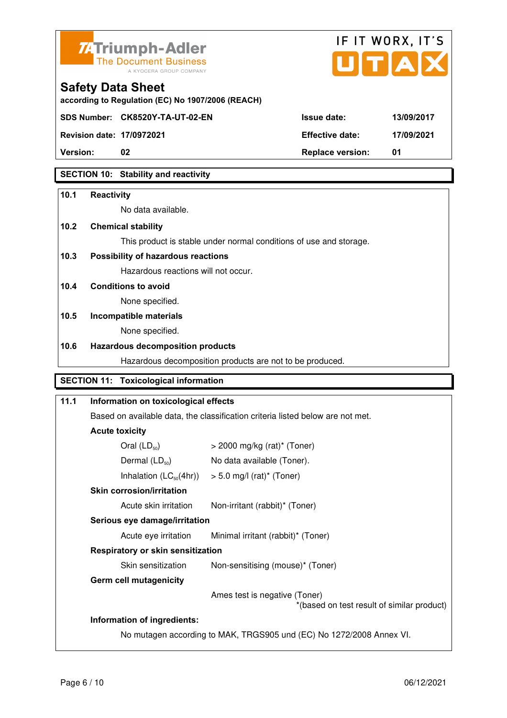

**according to Regulation (EC) No 1907/2006 (REACH)**



**Safety Data Sheet** 

| $155131011$ Galg. $111031$ EVE 1 | LIIVUUVU UULU.          | . |
|----------------------------------|-------------------------|---|
| <b>Version:</b>                  | <b>Replace version:</b> |   |

### **SECTION 10: Stability and reactivity**

## **10.1 Reactivity**  No data available. **10.2 Chemical stability**  This product is stable under normal conditions of use and storage. **10.3 Possibility of hazardous reactions** Hazardous reactions will not occur. **10.4 Conditions to avoid**  None specified. **10.5 Incompatible materials**  None specified. **10.6 Hazardous decomposition products**  Hazardous decomposition products are not to be produced. **SECTION 11: Toxicological information 11.1 Information on toxicological effects**  Based on available data, the classification criteria listed below are not met. **Acute toxicity**   $\text{Oral (l D<sub>0</sub>)}$   $\rightarrow$  2000 mg/kg (rat)\* (Toner)

| $U$ al (L $U_{50}$ )              | $>$ 2000 Hig/Ng (Tat) (TOHEL)                                               |
|-----------------------------------|-----------------------------------------------------------------------------|
| Dermal $(LD_{50})$                | No data available (Toner).                                                  |
|                                   | Inhalation $(LC_{50}(4hr))$ > 5.0 mg/l (rat) <sup>*</sup> (Toner)           |
| <b>Skin corrosion/irritation</b>  |                                                                             |
| Acute skin irritation             | Non-irritant (rabbit)* (Toner)                                              |
| Serious eye damage/irritation     |                                                                             |
| Acute eye irritation              | Minimal irritant (rabbit)* (Toner)                                          |
| Respiratory or skin sensitization |                                                                             |
| Skin sensitization                | Non-sensitising (mouse)* (Toner)                                            |
| <b>Germ cell mutagenicity</b>     |                                                                             |
|                                   | Ames test is negative (Toner)<br>*(based on test result of similar product) |
| Information of ingredients:       |                                                                             |
|                                   | No mutagen according to MAK, TRGS905 und (EC) No 1272/2008 Annex VI.        |
|                                   |                                                                             |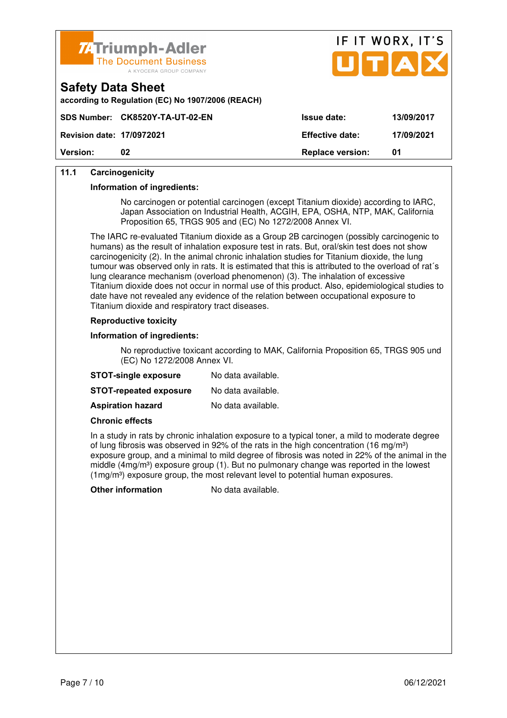



| according to Regulation (EC) No 1907/2006 (REACH) |  |  |
|---------------------------------------------------|--|--|

| <b>Version:</b>                  | 02                              | <b>Replace version:</b> | 01         |
|----------------------------------|---------------------------------|-------------------------|------------|
| <b>Revision date: 17/0972021</b> |                                 | <b>Effective date:</b>  | 17/09/2021 |
|                                  | SDS Number: CK8520Y-TA-UT-02-EN | <b>Issue date:</b>      | 13/09/2017 |

### **11.1 Carcinogenicity**

**Safety Data Sheet** 

#### **Information of ingredients:**

 No carcinogen or potential carcinogen (except Titanium dioxide) according to IARC, Japan Association on Industrial Health, ACGIH, EPA, OSHA, NTP, MAK, California Proposition 65, TRGS 905 and (EC) No 1272/2008 Annex VI.

 The IARC re-evaluated Titanium dioxide as a Group 2B carcinogen (possibly carcinogenic to humans) as the result of inhalation exposure test in rats. But, oral/skin test does not show carcinogenicity (2). In the animal chronic inhalation studies for Titanium dioxide, the lung tumour was observed only in rats. It is estimated that this is attributed to the overload of rat´s lung clearance mechanism (overload phenomenon) (3). The inhalation of excessive Titanium dioxide does not occur in normal use of this product. Also, epidemiological studies to date have not revealed any evidence of the relation between occupational exposure to Titanium dioxide and respiratory tract diseases.

#### **Reproductive toxicity**

#### **Information of ingredients:**

 No reproductive toxicant according to MAK, California Proposition 65, TRGS 905 und (EC) No 1272/2008 Annex VI.

| <b>STOT-single exposure</b>   | No data available. |
|-------------------------------|--------------------|
| <b>STOT-repeated exposure</b> | No data available. |
| <b>Aspiration hazard</b>      | No data available. |

#### **Chronic effects**

 In a study in rats by chronic inhalation exposure to a typical toner, a mild to moderate degree of lung fibrosis was observed in 92% of the rats in the high concentration (16 mg/m<sup>3</sup>) exposure group, and a minimal to mild degree of fibrosis was noted in 22% of the animal in the middle (4mg/m<sup>3</sup>) exposure group (1). But no pulmonary change was reported in the lowest  $(1 \text{mg/m}^3)$  exposure group, the most relevant level to potential human exposures.

**Other information** No data available.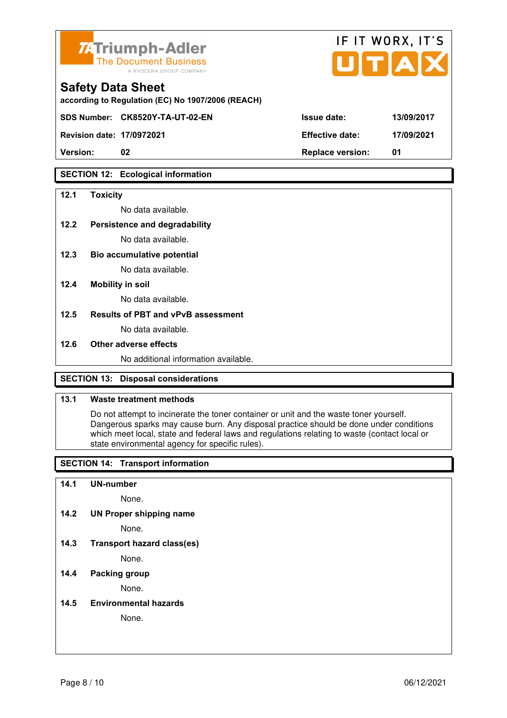

|      |                        | IF IT WORX, IT'S<br>JITIAIX |
|------|------------------------|-----------------------------|
| ACH) |                        |                             |
|      | <b>Issue date:</b>     | 13/09/2017                  |
|      | <b>Effective date:</b> | 17/09/2021                  |
|      |                        |                             |

according to Regulation (EC) No 1907/2006 (REA

**SDS Number: CK8520Y-TA-UT-02-EN** 

**Revision date: 17/0972021 Effective date: 17/09/2021** 

**Version: 02 Replace version: 01** 

### **SECTION 12: Ecological information**

#### **12.1 Toxicity**

No data available.

### **12.2 Persistence and degradability**

No data available.

**12.3 Bio accumulative potential** 

No data available.

#### **12.4 Mobility in soil**

No data available.

#### **12.5 Results of PBT and vPvB assessment**

No data available.

#### **12.6 Other adverse effects**

No additional information available.

### **SECTION 13: Disposal considerations**

### **13.1 Waste treatment methods**

 Do not attempt to incinerate the toner container or unit and the waste toner yourself. Dangerous sparks may cause burn. Any disposal practice should be done under conditions which meet local, state and federal laws and regulations relating to waste (contact local or state environmental agency for specific rules).

### **SECTION 14: Transport information**

#### **14.1 UN-number**

None.

**14.2 UN Proper shipping name** 

None.

**14.3 Transport hazard class(es)** 

None.

### **14.4 Packing group**

None.

#### **14.5 Environmental hazards**

None.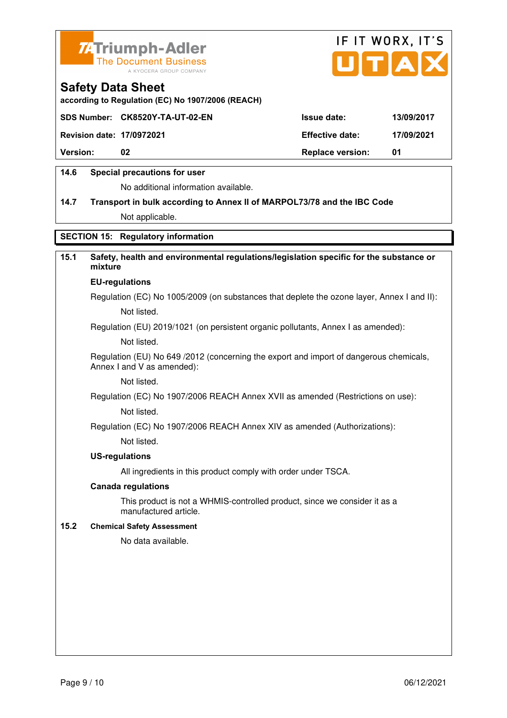



**according to Regulation (EC) No 1907/2006 (REACH)**

|                                  | SDS Number: CK8520Y-TA-UT-02-EN | <b>Issue date:</b>      | 13/09/2017 |
|----------------------------------|---------------------------------|-------------------------|------------|
| <b>Revision date: 17/0972021</b> |                                 | <b>Effective date:</b>  | 17/09/2021 |
| <b>Version:</b>                  | 02                              | <b>Replace version:</b> | 01         |
|                                  |                                 |                         |            |

### **14.6 Special precautions for user**

No additional information available.

## **14.7 Transport in bulk according to Annex II of MARPOL73/78 and the IBC Code** Not applicable.

### **SECTION 15: Regulatory information**

### **15.1 Safety, health and environmental regulations/legislation specific for the substance or mixture**

#### **EU-regulations**

Regulation (EC) No 1005/2009 (on substances that deplete the ozone layer, Annex I and II): Not listed.

Regulation (EU) 2019/1021 (on persistent organic pollutants, Annex I as amended):

Not listed.

 Regulation (EU) No 649 /2012 (concerning the export and import of dangerous chemicals, Annex I and V as amended):

Not listed.

 Regulation (EC) No 1907/2006 REACH Annex XVII as amended (Restrictions on use): Not listed.

Regulation (EC) No 1907/2006 REACH Annex XIV as amended (Authorizations):

Not listed.

#### **US-regulations**

All ingredients in this product comply with order under TSCA.

#### **Canada regulations**

 This product is not a WHMIS-controlled product, since we consider it as a manufactured article.

#### **15.2 Chemical Safety Assessment**

No data available.